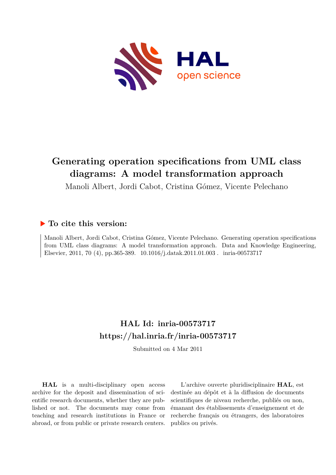

# **Generating operation specifications from UML class diagrams: A model transformation approach**

Manoli Albert, Jordi Cabot, Cristina Gómez, Vicente Pelechano

## **To cite this version:**

Manoli Albert, Jordi Cabot, Cristina Gómez, Vicente Pelechano. Generating operation specifications from UML class diagrams: A model transformation approach. Data and Knowledge Engineering, Elsevier, 2011, 70 (4), pp.365-389.  $10.1016/j.datak.2011.01.003$ . inria-00573717

# **HAL Id: inria-00573717 <https://hal.inria.fr/inria-00573717>**

Submitted on 4 Mar 2011

**HAL** is a multi-disciplinary open access archive for the deposit and dissemination of scientific research documents, whether they are published or not. The documents may come from teaching and research institutions in France or abroad, or from public or private research centers.

L'archive ouverte pluridisciplinaire **HAL**, est destinée au dépôt et à la diffusion de documents scientifiques de niveau recherche, publiés ou non, émanant des établissements d'enseignement et de recherche français ou étrangers, des laboratoires publics ou privés.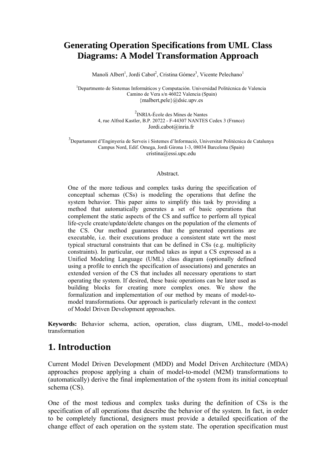## **Generating Operation Specifications from UML Class Diagrams: A Model Transformation Approach**

Manoli Albert<sup>1</sup>, Jordi Cabot<sup>2</sup>, Cristina Gómez<sup>3</sup>, Vicente Pelechano<sup>1</sup>

<sup>1</sup>Departmento de Sistemas Informáticos y Computación. Universidad Politécnica de Valencia Camino de Vera s/n 46022 Valencia (Spain) {malbert,pele}@dsic.upv.es

> 2 INRIA-École des Mines de Nantes 4, rue Alfred Kastler, B.P. 20722 - F-44307 NANTES Cedex 3 (France) Jordi.cabot@inria.fr

<sup>3</sup> Departament d'Enginyeria de Serveis i Sistemes d'Informació, Universitat Politècnica de Catalunya Campus Nord, Edif. Omega, Jordi Girona 1-3, 08034 Barcelona (Spain) cristina@essi.upc.edu

#### Abstract.

One of the more tedious and complex tasks during the specification of conceptual schemas (CSs) is modeling the operations that define the system behavior. This paper aims to simplify this task by providing a method that automatically generates a set of basic operations that complement the static aspects of the CS and suffice to perform all typical life-cycle create/update/delete changes on the population of the elements of the CS. Our method guarantees that the generated operations are executable, i.e. their executions produce a consistent state wrt the most typical structural constraints that can be defined in CSs (e.g. multiplicity constraints). In particular, our method takes as input a CS expressed as a Unified Modeling Language (UML) class diagram (optionally defined using a profile to enrich the specification of associations) and generates an extended version of the CS that includes all necessary operations to start operating the system. If desired, these basic operations can be later used as building blocks for creating more complex ones. We show the formalization and implementation of our method by means of model-tomodel transformations. Our approach is particularly relevant in the context of Model Driven Development approaches.

**Keywords:** Behavior schema, action, operation, class diagram, UML, model-to-model transformation

## **1. Introduction**

Current Model Driven Development (MDD) and Model Driven Architecture (MDA) approaches propose applying a chain of model-to-model (M2M) transformations to (automatically) derive the final implementation of the system from its initial conceptual schema (CS).

One of the most tedious and complex tasks during the definition of CSs is the specification of all operations that describe the behavior of the system. In fact, in order to be completely functional, designers must provide a detailed specification of the change effect of each operation on the system state. The operation specification must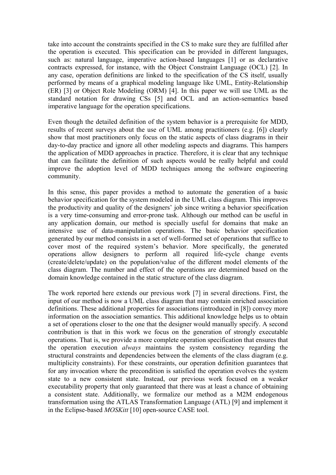take into account the constraints specified in the CS to make sure they are fulfilled after the operation is executed. This specification can be provided in different languages, such as: natural language, imperative action-based languages [1] or as declarative contracts expressed, for instance, with the Object Constraint Language (OCL) [2]. In any case, operation definitions are linked to the specification of the CS itself, usually performed by means of a graphical modeling language like UML, Entity-Relationship (ER) [3] or Object Role Modeling (ORM) [4]. In this paper we will use UML as the standard notation for drawing CSs [5] and OCL and an action-semantics based imperative language for the operation specifications.

Even though the detailed definition of the system behavior is a prerequisite for MDD, results of recent surveys about the use of UML among practitioners (e.g. [6]) clearly show that most practitioners only focus on the static aspects of class diagrams in their day-to-day practice and ignore all other modeling aspects and diagrams. This hampers the application of MDD approaches in practice. Therefore, it is clear that any technique that can facilitate the definition of such aspects would be really helpful and could improve the adoption level of MDD techniques among the software engineering community.

In this sense, this paper provides a method to automate the generation of a basic behavior specification for the system modeled in the UML class diagram. This improves the productivity and quality of the designers' job since writing a behavior specification is a very time-consuming and error-prone task. Although our method can be useful in any application domain, our method is specially useful for domains that make an intensive use of data-manipulation operations. The basic behavior specification generated by our method consists in a set of well-formed set of operations that suffice to cover most of the required system's behavior. More specifically, the generated operations allow designers to perform all required life-cycle change events (create/delete/update) on the population/value of the different model elements of the class diagram. The number and effect of the operations are determined based on the domain knowledge contained in the static structure of the class diagram.

The work reported here extends our previous work [7] in several directions. First, the input of our method is now a UML class diagram that may contain enriched association definitions. These additional properties for associations (introduced in [8]) convey more information on the association semantics. This additional knowledge helps us to obtain a set of operations closer to the one that the designer would manually specify. A second contribution is that in this work we focus on the generation of strongly executable operations. That is, we provide a more complete operation specification that ensures that the operation execution *always* maintains the system consistency regarding the structural constraints and dependencies between the elements of the class diagram (e.g. multiplicity constraints). For these constraints, our operation definition guarantees that for any invocation where the precondition is satisfied the operation evolves the system state to a new consistent state. Instead, our previous work focused on a weaker executability property that only guaranteed that there was at least a chance of obtaining a consistent state. Additionally, we formalize our method as a M2M endogenous transformation using the ATLAS Transformation Language (ATL) [9] and implement it in the Eclipse-based *MOSKitt* [10] open-source CASE tool.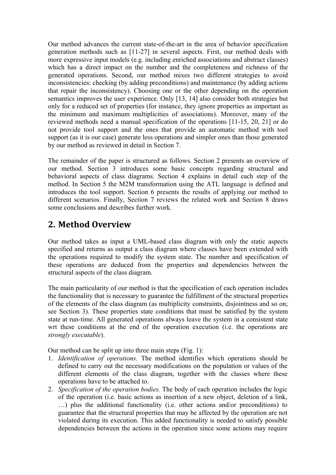Our method advances the current state-of-the-art in the area of behavior specification generation methods such as [11-27] in several aspects. First, our method deals with more expressive input models (e.g. including enriched associations and abstract classes) which has a direct impact on the number and the completeness and richness of the generated operations. Second, our method mixes two different strategies to avoid inconsistencies: checking (by adding preconditions) and maintenance (by adding actions that repair the inconsistency). Choosing one or the other depending on the operation semantics improves the user experience. Only [13, 14] also consider both strategies but only for a reduced set of properties (for instance, they ignore properties as important as the minimum and maximum multiplicities of associations). Moreover, many of the reviewed methods need a manual specification of the operations [11-15, 20, 21] or do not provide tool support and the ones that provide an automatic method with tool support (as it is our case) generate less operations and simpler ones than those generated by our method as reviewed in detail in Section 7.

The remainder of the paper is structured as follows. Section 2 presents an overview of our method. Section 3 introduces some basic concepts regarding structural and behavioral aspects of class diagrams. Section 4 explains in detail each step of the method. In Section 5 the M2M transformation using the ATL language is defined and introduces the tool support. Section 6 presents the results of applying our method to different scenarios. Finally, Section 7 reviews the related work and Section 8 draws some conclusions and describes further work.

## **2. Method Overview**

Our method takes as input a UML-based class diagram with only the static aspects specified and returns as output a class diagram where classes have been extended with the operations required to modify the system state. The number and specification of these operations are deduced from the properties and dependencies between the structural aspects of the class diagram.

The main particularity of our method is that the specification of each operation includes the functionality that is necessary to guarantee the fulfillment of the structural properties of the elements of the class diagram (as multiplicity constraints, disjointness and so on; see Section 3). These properties state conditions that must be satisfied by the system state at run-time. All generated operations always leave the system in a consistent state wrt these conditions at the end of the operation execution (i.e. the operations are *strongly executable*).

Our method can be split up into three main steps (Fig. 1):

- 1. *Identification of operations.* The method identifies which operations should be defined to carry out the necessary modifications on the population or values of the different elements of the class diagram, together with the classes where these operations have to be attached to.
- 2. *Specification of the operation bodies.* The body of each operation includes the logic of the operation (i.e. basic actions as insertion of a new object, deletion of a link, …) plus the additional functionality (i.e. other actions and/or preconditions) to guarantee that the structural properties that may be affected by the operation are not violated during its execution. This added functionality is needed to satisfy possible dependencies between the actions in the operation since some actions may require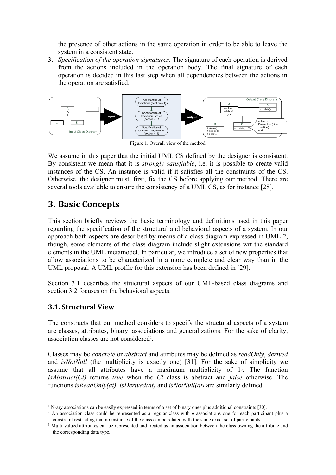the presence of other actions in the same operation in order to be able to leave the system in a consistent state.

3. *Specification of the operation signatures*. The signature of each operation is derived from the actions included in the operation body. The final signature of each operation is decided in this last step when all dependencies between the actions in the operation are satisfied.



Figure 1. Overall view of the method

We assume in this paper that the initial UML CS defined by the designer is consistent. By consistent we mean that it is *strongly satisfiable*, i.e. it is possible to create valid instances of the CS. An instance is valid if it satisfies all the constraints of the CS. Otherwise, the designer must, first, fix the CS before applying our method. There are several tools available to ensure the consistency of a UML CS, as for instance [28].

## **3. Basic Concepts**

This section briefly reviews the basic terminology and definitions used in this paper regarding the specification of the structural and behavioral aspects of a system. In our approach both aspects are described by means of a class diagram expressed in UML 2, though, some elements of the class diagram include slight extensions wrt the standard elements in the UML metamodel. In particular, we introduce a set of new properties that allow associations to be characterized in a more complete and clear way than in the UML proposal. A UML profile for this extension has been defined in [29].

Section 3.1 describes the structural aspects of our UML-based class diagrams and section 3.2 focuses on the behavioral aspects.

## **3.1. Structural View**

1

The constructs that our method considers to specify the structural aspects of a system are classes, attributes, binary<sup>1</sup> associations and generalizations. For the sake of clarity, association classes are not considered2.

Classes may be *concrete* or *abstract* and attributes may be defined as *readOnly*, *derived* and *isNotNull* (the multiplicity is exactly one) [31]. For the sake of simplicity we assume that all attributes have a maximum multiplicity of  $1<sup>3</sup>$ . The function *isAbstract(Cl)* returns *true* when the *Cl* class is abstract and *false* otherwise. The functions *isReadOnly(at), isDerived(at)* and *isNotNull(at)* are similarly defined.

<sup>&</sup>lt;sup>1</sup> N-ary associations can be easily expressed in terms of a set of binary ones plus additional constraints [30].<br><sup>2</sup> An association class could be represented as a regular class with *n* associations one for each partici

constraint restricting that no instance of the class can be related with the same exact set of participants.<br><sup>3</sup> Multi-valued attributes can be represented and treated as an association between the class owning the attrib the corresponding data type.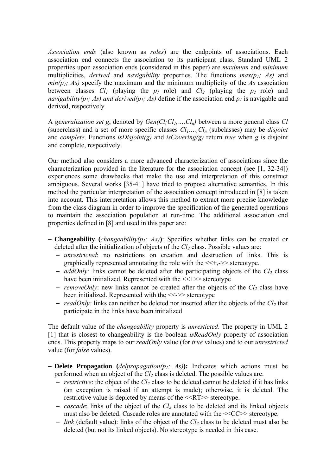*Association ends* (also known as *roles*) are the endpoints of associations. Each association end connects the association to its participant class. Standard UML 2 properties upon association ends (considered in this paper) are *maximum* and *minimum* multiplicities, *derived* and *navigability* properties. The functions *max(p1; As)* and *min(p1; As)* specify the maximum and the minimum multiplicity of the *As* association between classes  $Cl_1$  (playing the  $p_1$  role) and  $Cl_2$  (playing the  $p_2$  role) and *navigability(p<sub>1</sub>; As) and derived(p<sub>1</sub>; As)* define if the association end  $p_1$  is navigable and derived, respectively*.* 

A *generalization set g*, denoted by  $Gen(Cl;Cl_1, ..., Cl_n)$  between a more general class Cl (superclass) and a set of more specific classes *Cl1,…,Cln* (subclasses) may be *disjoint* and *complete*. Functions *isDisjoint(g)* and *isCovering(g)* return *true* when *g* is disjoint and complete, respectively.

Our method also considers a more advanced characterization of associations since the characterization provided in the literature for the association concept (see [1, 32-34]) experiences some drawbacks that make the use and interpretation of this construct ambiguous. Several works [35-41] have tried to propose alternative semantics. In this method the particular interpretation of the association concept introduced in [8] is taken into account. This interpretation allows this method to extract more precise knowledge from the class diagram in order to improve the specification of the generated operations to maintain the association population at run-time. The additional association end properties defined in [8] and used in this paper are:

- **Changeability** (*changeability(p<sub>1</sub>; As)*): Specifies whether links can be created or deleted after the initialization of objects of the  $Cl<sub>2</sub>$  class. Possible values are:
	- *unrestricted*: no restrictions on creation and destruction of links. This is graphically represented annotating the role with the  $\langle \langle +,- \rangle$  stereotype.
	- *addOnly:* links cannot be deleted after the participating objects of the  $Cl_2$  class have been initialized. Represented with the  $\langle\langle + \rangle \rangle$  stereotype
	- *removeOnly*: new links cannot be created after the objects of the *Cl<sub>2</sub>* class have been initialized. Represented with the <<->> stereotype
	- *readOnly:* links can neither be deleted nor inserted after the objects of the  $Cl_2$  that participate in the links have been initialized

The default value of the *changeability* property is *unresticted*. The property in UML 2 [1] that is closest to changeability is the boolean *isReadOnly* property of association ends. This property maps to our *readOnly* value (for *true* values) and to our *unrestricted* value (for *false* values).

- **Delete Propagation** (*delpropagation(p<sub>1</sub>; As*)): Indicates which actions must be performed when an object of the  $Cl_2$  class is deleted. The possible values are:
	- *<i>restrictive*: the object of the  $Cl_2$  class to be deleted cannot be deleted if it has links (an exception is raised if an attempt is made); otherwise, it is deleted. The restrictive value is depicted by means of the  $\le$ RT $\ge$ > stereotype.
	- $\alpha$  *cascade*: links of the object of the  $Cl_2$  class to be deleted and its linked objects must also be deleted. Cascade roles are annotated with the <<CC>> stereotype.
	- *link* (default value): links of the object of the *Cl<sub>2</sub>* class to be deleted must also be deleted (but not its linked objects). No stereotype is needed in this case.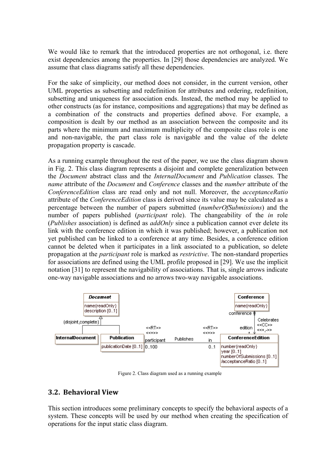We would like to remark that the introduced properties are not orthogonal, i.e. there exist dependencies among the properties. In [29] those dependencies are analyzed. We assume that class diagrams satisfy all these dependencies.

For the sake of simplicity, our method does not consider, in the current version, other UML properties as subsetting and redefinition for attributes and ordering, redefinition, subsetting and uniqueness for association ends. Instead, the method may be applied to other constructs (as for instance, compositions and aggregations) that may be defined as a combination of the constructs and properties defined above. For example, a composition is dealt by our method as an association between the composite and its parts where the minimum and maximum multiplicity of the composite class role is one and non-navigable, the part class role is navigable and the value of the delete propagation property is cascade.

As a running example throughout the rest of the paper, we use the class diagram shown in Fig. 2. This class diagram represents a disjoint and complete generalization between the *Document* abstract class and the *InternalDocument* and *Publication* classes. The *name* attribute of the *Document* and *Conference* classes and the *number* attribute of the *ConferenceEdition* class are read only and not null. Moreover, the *acceptanceRatio* attribute of the *ConferenceEdition* class is derived since its value may be calculated as a percentage between the number of papers submitted (*numberOfSubmissions*) and the number of papers published (*participant* role). The changeability of the *in* role (*Publishes* association) is defined as *addOnly* since a publication cannot ever delete its link with the conference edition in which it was published; however, a publication not yet published can be linked to a conference at any time. Besides, a conference edition cannot be deleted when it participates in a link associated to a publication, so delete propagation at the *participant* role is marked as *restrictive*. The non-standard properties for associations are defined using the UML profile proposed in [29]. We use the implicit notation [31] to represent the navigability of associations. That is, single arrows indicate one-way navigable associations and no arrows two-way navigable associations.



Figure 2. Class diagram used as a running example

### **3.2. Behavioral View**

This section introduces some preliminary concepts to specify the behavioral aspects of a system. These concepts will be used by our method when creating the specification of operations for the input static class diagram.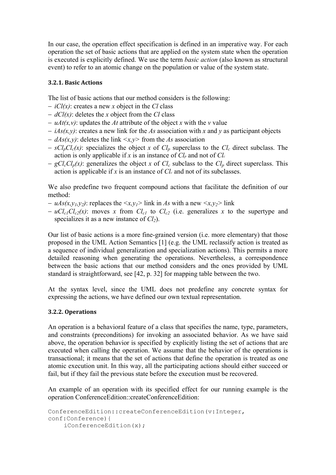In our case, the operation effect specification is defined in an imperative way. For each operation the set of basic actions that are applied on the system state when the operation is executed is explicitly defined. We use the term *basic action* (also known as structural event) to refer to an atomic change on the population or value of the system state.

### **3.2.1. Basic Actions**

The list of basic actions that our method considers is the following:

- $i$ *iCl(x)*: creates a new *x* object in the *Cl* class
- $-dCl(x)$ : deletes the *x* object from the *Cl* class
- *uAt(x,v)*: updates the *At* attribute of the object *x* with the *v* value
- *iAs(x,y)*: creates a new link for the *As* association with *x* and *y* as participant objects
- $-dAs(x, y)$ : deletes the link  $\langle x, y \rangle$  from the *As* association
- $sCl_pCl_c(x)$ : specializes the object *x* of  $Cl_p$  superclass to the  $Cl_c$  direct subclass. The action is only applicable if  $x$  is an instance of  $Cl_p$  and not of  $Cl_c$
- $-gCl<sub>c</sub>Cl<sub>p</sub>(x)$ : generalizes the object *x* of  $Cl<sub>c</sub>$  subclass to the  $Cl<sub>p</sub>$  direct superclass. This action is applicable if  $x$  is an instance of  $Cl<sub>c</sub>$  and not of its subclasses.

We also predefine two frequent compound actions that facilitate the definition of our method:

- *uAs(x,y<sub>1</sub>,y<sub>2</sub>)*: replaces the  $\langle x, y \rangle$  link in *As* with a new  $\langle x, y \rangle$  link
- $-uCl_{c1}Cl_{c2}(x)$ : moves *x* from  $Cl_{c1}$  to  $Cl_{c2}$  (i.e. generalizes *x* to the supertype and specializes it as a new instance of  $Cl<sub>2</sub>$ ).

Our list of basic actions is a more fine-grained version (i.e. more elementary) that those proposed in the UML Action Semantics [1] (e.g. the UML reclassify action is treated as a sequence of individual generalization and specialization actions). This permits a more detailed reasoning when generating the operations. Nevertheless, a correspondence between the basic actions that our method considers and the ones provided by UML standard is straightforward, see [42, p. 32] for mapping table between the two.

At the syntax level, since the UML does not predefine any concrete syntax for expressing the actions, we have defined our own textual representation.

#### **3.2.2. Operations**

An operation is a behavioral feature of a class that specifies the name, type, parameters, and constraints (preconditions) for invoking an associated behavior. As we have said above, the operation behavior is specified by explicitly listing the set of actions that are executed when calling the operation. We assume that the behavior of the operations is transactional; it means that the set of actions that define the operation is treated as one atomic execution unit. In this way, all the participating actions should either succeed or fail, but if they fail the previous state before the execution must be recovered.

An example of an operation with its specified effect for our running example is the operation ConferenceEdition::createConferenceEdition:

```
ConferenceEdition::createConferenceEdition(v:Integer, 
conf:Conference){ 
     iConferenceEdition(x);
```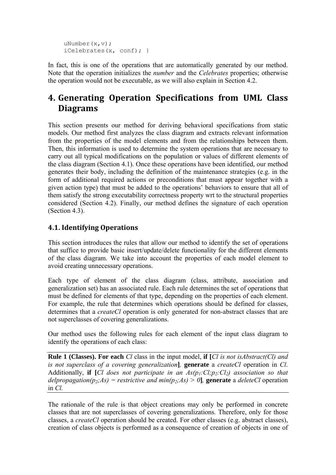```
 uNumber(x,v); 
 iCelebrates(x, conf); }
```
In fact, this is one of the operations that are automatically generated by our method. Note that the operation initializes the *number* and the *Celebrates* properties; otherwise the operation would not be executable, as we will also explain in Section 4.2.

# **4. Generating Operation Specifications from UML Class Diagrams**

This section presents our method for deriving behavioral specifications from static models. Our method first analyzes the class diagram and extracts relevant information from the properties of the model elements and from the relationships between them. Then, this information is used to determine the system operations that are necessary to carry out all typical modifications on the population or values of different elements of the class diagram (Section 4.1). Once these operations have been identified, our method generates their body, including the definition of the maintenance strategies (e.g. in the form of additional required actions or preconditions that must appear together with a given action type) that must be added to the operations' behaviors to ensure that all of them satisfy the strong executability correctness property wrt to the structural properties considered (Section 4.2). Finally, our method defines the signature of each operation (Section 4.3).

## **4.1. Identifying Operations**

This section introduces the rules that allow our method to identify the set of operations that suffice to provide basic insert/update/delete functionality for the different elements of the class diagram. We take into account the properties of each model element to avoid creating unnecessary operations.

Each type of element of the class diagram (class, attribute, association and generalization set) has an associated rule. Each rule determines the set of operations that must be defined for elements of that type, depending on the properties of each element. For example, the rule that determines which operations should be defined for classes, determines that a *createCl* operation is only generated for non-abstract classes that are not superclasses of covering generalizations.

Our method uses the following rules for each element of the input class diagram to identify the operations of each class:

**Rule 1 (Classes). For each** *Cl* class in the input model, **if [***Cl is not isAbstract(Cl) and is not superclass of a covering generalization***]***,* **generate** a *createCl* operation in *Cl*. Additionally, **if** [*Cl does not participate in an*  $As(p_1:Cl;p_2:Cl_2)$  *association so that delpropagation(p<sub>2</sub>;As) = restrictive and min(p<sub>2</sub>;As) > 0, generate a <i>deleteCl* operation in *Cl.*

The rationale of the rule is that object creations may only be performed in concrete classes that are not superclasses of covering generalizations. Therefore, only for those classes, a *createCl* operation should be created. For other classes (e.g. abstract classes), creation of class objects is performed as a consequence of creation of objects in one of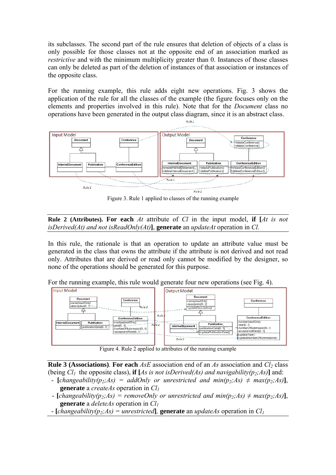its subclasses. The second part of the rule ensures that deletion of objects of a class is only possible for those classes not at the opposite end of an association marked as *restrictive* and with the minimum multiplicity greater than 0. Instances of those classes can only be deleted as part of the deletion of instances of that association or instances of the opposite class.

For the running example, this rule adds eight new operations. Fig. 3 shows the application of the rule for all the classes of the example (the figure focuses only on the elements and properties involved in this rule). Note that for the *Document* class no operations have been generated in the output class diagram, since it is an abstract class.



Figure 3. Rule 1 applied to classes of the running example

**Rule 2 (Attributes). For each** *At* attribute of *Cl* in the input model, **if [***At is not isDerived(At) and not isReadOnly(At)***]**, **generate** an *updateAt* operation in *Cl.*

In this rule, the rationale is that an operation to update an attribute value must be generated in the class that owns the attribute if the attribute is not derived and not read only. Attributes that are derived or read only cannot be modified by the designer, so none of the operations should be generated for this purpose.

For the running example, this rule would generate four new operations (see Fig. 4).



Figure 4. Rule 2 applied to attributes of the running example

**Rule 3 (Associations). For each**  $AsE$  association end of an  $As$  association and  $Cl_2$  class (being  $Cl<sub>1</sub>$  the opposite class), **if** [As is not isDerived(As) and navigability( $p<sub>2</sub>$ ;As)] and:

- **[***changeability(p<sub>2</sub>;As) = addOnly or unrestricted and min(p<sub>2</sub>;As)*  $\neq$  *max(p<sub>2</sub>;As)],* **generate** a *createAs* operation in *Cl1*
- $\blacksquare$  [*changeability(p<sub>2</sub>;As) = removeOnly or unrestricted and min(p<sub>2</sub>;As)*  $\neq$  *max(p<sub>2</sub>;As)],* **generate** a *deleteAs* operation in *Cl1*
- $\blacksquare$  [*changeability(p<sub>2</sub>;As) = unrestricted*], **generate** an *updateAs* operation in *Cl<sub>1</sub>*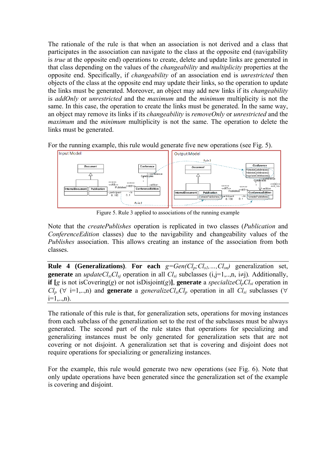The rationale of the rule is that when an association is not derived and a class that participates in the association can navigate to the class at the opposite end (navigability is *true* at the opposite end) operations to create, delete and update links are generated in that class depending on the values of the *changeability* and *multiplicity* properties at the opposite end. Specifically, if *changeability* of an association end is *unrestricted* then objects of the class at the opposite end may update their links, so the operation to update the links must be generated. Moreover, an object may add new links if its *changeability* is *addOnly* or *unrestricted* and the *maximum* and the *minimum* multiplicity is not the same. In this case, the operation to create the links must be generated. In the same way, an object may remove its links if its *changeability* is *removeOnly* or *unrestricted* and the *maximum* and the *minimum* multiplicity is not the same. The operation to delete the links must be generated.

For the running example, this rule would generate five new operations (see Fig. 5).



Figure 5. Rule 3 applied to associations of the running example

Note that the *createPublishes* operation is replicated in two classes (*Publication* and *ConferenceEdition* classes) due to the navigability and changeability values of the *Publishes* association. This allows creating an instance of the association from both classes.

**Rule 4 (Generalizations). For each**  $g = Gen(Cl_p; Cl_{s1}, ..., Cl_{sn})$  generalization set, **generate** an *updateCl<sub>si</sub>Cl<sub>si</sub>* operation in all *Cl<sub>si</sub>* subclasses (i,j=1,..,n, i≠j). Additionally, **if** [*g* is not isCovering(*g*) or not isDisjoint(*g*)], **generate** a *specializeCl<sub>p</sub>Cl<sub>si</sub>* operation in  $Cl_p$  ( $\forall$  i=1,...,n) and **generate** a *generalizeCl<sub>si</sub>Cl<sub>p</sub>* operation in all *Cl<sub>si</sub>* subclasses ( $\forall$ i=1,..,n).

The rationale of this rule is that, for generalization sets, operations for moving instances from each subclass of the generalization set to the rest of the subclasses must be always generated. The second part of the rule states that operations for specializing and generalizing instances must be only generated for generalization sets that are not covering or not disjoint. A generalization set that is covering and disjoint does not require operations for specializing or generalizing instances.

For the example, this rule would generate two new operations (see Fig. 6). Note that only update operations have been generated since the generalization set of the example is covering and disjoint.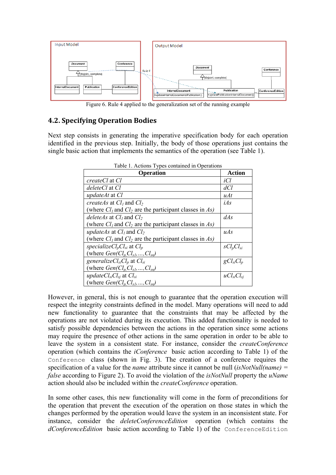

Figure 6. Rule 4 applied to the generalization set of the running example

### **4.2. Specifying Operation Bodies**

Next step consists in generating the imperative specification body for each operation identified in the previous step. Initially, the body of those operations just contains the single basic action that implements the semantics of the operation (see Table 1).

| <b>Operation</b>                                          | Action            |
|-----------------------------------------------------------|-------------------|
| createCl at Cl                                            | iCl               |
| <i>deleteCl</i> at <i>Cl</i>                              | dCl               |
| <i>updateAt</i> at Cl                                     | uAt               |
| <i>createAs</i> at $Cl1$ and $Cl2$                        | iAs               |
| (where $Cll$ and $Cl2$ are the participant classes in As) |                   |
| <i>deleteAs</i> at $Cl1$ and $Cl2$                        | dAs               |
| (where $Cll$ and $Cl2$ are the participant classes in As) |                   |
| <i>updateAs</i> at $Cl1$ and $Cl2$                        | uAs               |
| (where $Cll$ and $Cl2$ are the participant classes in As) |                   |
| specialize $Cl_pCl_{si}$ at $Cl_p$                        | $sCl_pCl_{si}$    |
| (where $Gen(Cl_nCl_s, , Cl_{sn})$                         |                   |
| generalize $Cl_{si}Cl_{p}$ at $Cl_{si}$                   | $gCl_{si}Cl_p$    |
| (where $Gen(Cl_p(Cl_{s1},,Cl_{sn})$                       |                   |
| <i>update</i> $Cl_{si}Cl_{si}$ at $Cl_{si}$               | $uCl_{si}Cl_{si}$ |
| (where $Gen(Clp,Clsl,,Clsn)$                              |                   |

Table 1. Actions Types contained in Operations

However, in general, this is not enough to guarantee that the operation execution will respect the integrity constraints defined in the model. Many operations will need to add new functionality to guarantee that the constraints that may be affected by the operations are not violated during its execution. This added functionality is needed to satisfy possible dependencies between the actions in the operation since some actions may require the presence of other actions in the same operation in order to be able to leave the system in a consistent state. For instance, consider the *createConference* operation (which contains the *iConference* basic action according to Table 1) of the Conference class (shown in Fig. 3). The creation of a conference requires the specification of a value for the *name* attribute since it cannot be null (*isNotNull(name) = false* according to Figure 2). To avoid the violation of the *isNotNull* property the *uName* action should also be included within the *createConference* operation.

In some other cases, this new functionality will come in the form of preconditions for the operation that prevent the execution of the operation on those states in which the changes performed by the operation would leave the system in an inconsistent state. For instance, consider the *deleteConferenceEdition* operation (which contains the *dConferenceEdition* basic action according to Table 1) of the ConferenceEdition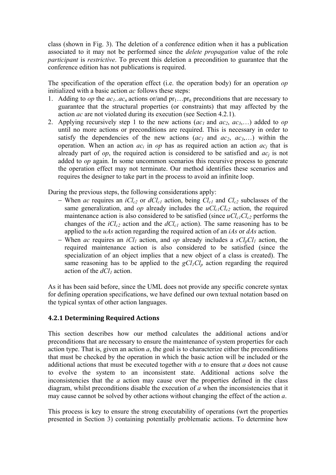class (shown in Fig. 3). The deletion of a conference edition when it has a publication associated to it may not be performed since the *delete propagation* value of the role *participant* is *restrictive*. To prevent this deletion a precondition to guarantee that the conference edition has not publications is required.

The specification of the operation effect (i.e. the operation body) for an operation *op* initialized with a basic action *ac* follows these steps:

- 1. Adding to *op* the  $ac_1$ ... $ac_n$  actions or/and  $pr_1$ ..., $pr_n$  preconditions that are necessary to guarantee that the structural properties (or constraints) that may affected by the action *ac* are not violated during its execution (see Section 4.2.1).
- 2. Applying recursively step 1 to the new actions  $(ac_1 \text{ and } ac_2, ac_3,...)$  added to *op* until no more actions or preconditions are required. This is necessary in order to satisfy the dependencies of the new actions  $(ac_1 \text{ and } ac_2, ac_3,...)$  within the operation. When an action *aci* in *op* has as required action an action *acj* that is already part of *op*, the required action is considered to be satisfied and *acj* is not added to *op* again. In some uncommon scenarios this recursive process to generate the operation effect may not terminate. Our method identifies these scenarios and requires the designer to take part in the process to avoid an infinite loop.

During the previous steps, the following considerations apply:

- When *ac* requires an  $iCl_{c2}$  or  $dCl_{c1}$  action, being  $Cl_{c1}$  and  $Cl_{c2}$  subclasses of the same generalization, and *op* already includes the  $uCl_{c1}Cl_{c2}$  action, the required maintenance action is also considered to be satisfied (since  $uCl_{c1}Cl_{c2}$  performs the changes of the  $iCl_{c2}$  action and the  $dCl_{c1}$  action). The same reasoning has to be applied to the *uAs* action regarding the required action of an *iAs* or *dAs* action.
- When *ac* requires an *iCl<sub>1</sub>* action, and *op* already includes a  $sCl<sub>p</sub>Cl<sub>1</sub>$  action, the required maintenance action is also considered to be satisfied (since the specialization of an object implies that a new object of a class is created). The same reasoning has to be applied to the  $gCl<sub>1</sub>Cl<sub>p</sub>$  action regarding the required action of the  $dCl_1$  action.

As it has been said before, since the UML does not provide any specific concrete syntax for defining operation specifications, we have defined our own textual notation based on the typical syntax of other action languages.

### **4.2.1 Determining Required Actions**

This section describes how our method calculates the additional actions and/or preconditions that are necessary to ensure the maintenance of system properties for each action type. That is, given an action  $a$ , the goal is to characterize either the preconditions that must be checked by the operation in which the basic action will be included or the additional actions that must be executed together with *a* to ensure that *a* does not cause to evolve the system to an inconsistent state. Additional actions solve the inconsistencies that the *a* action may cause over the properties defined in the class diagram, whilst preconditions disable the execution of *a* when the inconsistencies that it may cause cannot be solved by other actions without changing the effect of the action *a*.

This process is key to ensure the strong executability of operations (wrt the properties presented in Section 3) containing potentially problematic actions. To determine how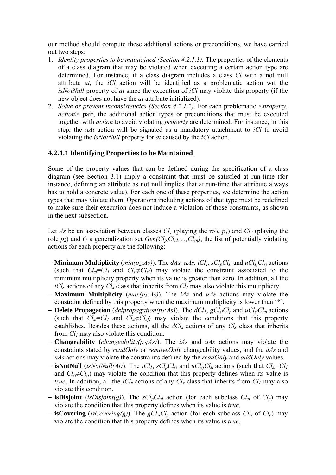our method should compute these additional actions or preconditions, we have carried out two steps:

- 1. *Identify properties to be maintained (Section 4.2.1.1).* The properties of the elements of a class diagram that may be violated when executing a certain action type are determined. For instance, if a class diagram includes a class *Cl* with a not null attribute *at*, the *iCl* action will be identified as a problematic action wrt the *isNotNull* property of *at* since the execution of *iCl* may violate this property (if the new object does not have the *at* attribute initialized).
- 2. *Solve or prevent inconsistencies (Section 4.2.1.2).* For each problematic *<property, action>* pair, the additional action types or preconditions that must be executed together with *action* to avoid violating *property* are determined. For instance, in this step, the *uAt* action will be signaled as a mandatory attachment to *iCl* to avoid violating the *isNotNull* property for *at* caused by the *iCl* action.

### **4.2.1.1 Identifying Properties to be Maintained**

Some of the property values that can be defined during the specification of a class diagram (see Section 3.1) imply a constraint that must be satisfied at run-time (for instance, defining an attribute as not null implies that at run-time that attribute always has to hold a concrete value). For each one of these properties, we determine the action types that may violate them. Operations including actions of that type must be redefined to make sure their execution does not induce a violation of those constraints, as shown in the next subsection.

Let *As* be an association between classes  $Cl<sub>1</sub>$  (playing the role  $p<sub>1</sub>$ ) and  $Cl<sub>2</sub>$  (playing the role  $p_2$ ) and *G* a generalization set *Gen(Cl<sub>p,</sub>Cl<sub>s1</sub>,...,Cl<sub>sn</sub>)*, the list of potentially violating actions for each property are the following:

- $-$  **Minimum Multiplicity** ( $min(p_2; As)$ ). The *dAs, uAs, iCl<sub>1</sub>, sCl<sub>p</sub>Cl<sub>si</sub> and*  $uCl_{si}Cl_{si}$  *actions* (such that  $Cl_{si}=Cl_1$  and  $Cl_{si}\neq Cl_{si}$ ) may violate the constraint associated to the minimum multiplicity property when its value is greater than zero. In addition, all the  $iCl<sub>x</sub>$  actions of any  $Cl<sub>x</sub>$  class that inherits from  $Cl<sub>I</sub>$  may also violate this multiplicity.
- **Maximum Multiplicity** (*max(p2;As)*). The *iAs* and *uAs* actions may violate the constraint defined by this property when the maximum multiplicity is lower than '\*'.
- **Delete Propagation** (*delpropagation*( $p_2$ ; *As*)). The  $dCl_1$ ,  $gCl_{si}Cl_p$  and  $uCl_{si}Cl_{si}$  actions (such that  $Cl_{si}=Cl_1$  and  $Cl_{si}\neq Cl_{si}$ ) may violate the conditions that this property establishes. Besides these actions, all the  $dCl_x$  actions of any  $Cl_x$  class that inherits from  $Cl<sub>1</sub>$  may also violate this condition.
- **Changeability** (*changeability(p2;As)*). The *iAs* and *uAs* actions may violate the constraints stated by *readOnly* or *removeOnly* changeability values, and the *dAs* and *uAs* actions may violate the constraints defined by the *readOnly* and *addOnly* values.
- $\blacksquare$  **isNotNull** (*isNotNull(At)*). The *iCl<sub>1</sub>*, *sCl<sub>p</sub>Cl<sub>si</sub>* and *uCl<sub>sj</sub>Cl<sub>si</sub>* actions (such that *Cl<sub>si</sub>*=*Cl<sub>1</sub>* and  $Cl<sub>si</sub> \neq Cl<sub>si</sub>$ ) may violate the condition that this property defines when its value is *true*. In addition, all the *iCl<sub>x</sub>* actions of any  $Cl_x$  class that inherits from  $Cl_1$  may also violate this condition.
- $\blacksquare$  **isDisjoint** (*isDisjoint(g)*). The *sCl<sub>p</sub>Cl<sub>si</sub>* action (for each subclass *Cl<sub>si</sub>* of *Cl<sub>p</sub>*) may violate the condition that this property defines when its value is *true*.
- $\sim$  **isCovering** (*isCovering(g)*). The *gCl<sub>si</sub>Cl<sub>p</sub>* action (for each subclass *Cl<sub>si</sub>* of *Cl<sub>p</sub>*) may violate the condition that this property defines when its value is *true*.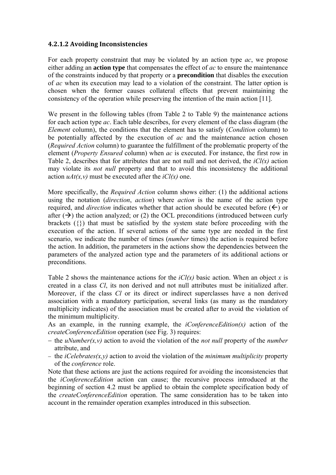#### **4.2.1.2 Avoiding Inconsistencies**

For each property constraint that may be violated by an action type *ac*, we propose either adding an **action type** that compensates the effect of *ac* to ensure the maintenance of the constraints induced by that property or a **precondition** that disables the execution of *ac* when its execution may lead to a violation of the constraint. The latter option is chosen when the former causes collateral effects that prevent maintaining the consistency of the operation while preserving the intention of the main action [11].

We present in the following tables (from Table 2 to Table 9) the maintenance actions for each action type *ac*. Each table describes, for every element of the class diagram (the *Element* column), the conditions that the element has to satisfy (*Condition* column) to be potentially affected by the execution of *ac* and the maintenance action chosen (*Required Action* column) to guarantee the fulfillment of the problematic property of the element (*Property Ensured* column) when *ac* is executed. For instance, the first row in Table 2, describes that for attributes that are not null and not derived, the  $iCl(x)$  action may violate its *not null* property and that to avoid this inconsistency the additional action  $uAt(x, v)$  must be executed after the  $iCl(x)$  one.

More specifically, the *Required Action* column shows either: (1) the additional actions using the notation (*direction*, *action*) where *action* is the name of the action type required, and *direction* indicates whether that action should be executed before  $(\leftarrow)$  or after  $(\rightarrow)$  the action analyzed; or (2) the OCL preconditions (introduced between curly brackets  $({} \{\})$  that must be satisfied by the system state before proceeding with the execution of the action. If several actions of the same type are needed in the first scenario, we indicate the number of times (*number* times) the action is required before the action. In addition, the parameters in the actions show the dependencies between the parameters of the analyzed action type and the parameters of its additional actions or preconditions.

Table 2 shows the maintenance actions for the  $iCl(x)$  basic action. When an object *x* is created in a class *Cl*, its non derived and not null attributes must be initialized after. Moreover, if the class *Cl* or its direct or indirect superclasses have a non derived association with a mandatory participation, several links (as many as the mandatory multiplicity indicates) of the association must be created after to avoid the violation of the minimum multiplicity.

As an example, in the running example, the *iConferenceEdition(x)* action of the *createConferenceEdition* operation (see Fig. 3) requires:

- $\theta$  the *uNumber(x,v)* action to avoid the violation of the *not null* property of the *number* attribute, and
- the *iCelebrates(x,y)* action to avoid the violation of the *minimum multiplicity* property of the *conference* role.

Note that these actions are just the actions required for avoiding the inconsistencies that the *iConferenceEdition* action can cause; the recursive process introduced at the beginning of section 4.2 must be applied to obtain the complete specification body of the *createConferenceEdition* operation. The same consideration has to be taken into account in the remainder operation examples introduced in this subsection.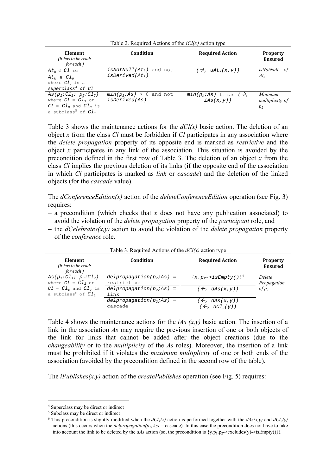Table 2. Required Actions of the *iCl(x)* action type

| Element<br><i>(it has to be read:</i><br>for each)                                                                 | Condition                                          | <b>Required Action</b>                              | <b>Property</b><br><b>Ensured</b>   |
|--------------------------------------------------------------------------------------------------------------------|----------------------------------------------------|-----------------------------------------------------|-------------------------------------|
| $At_k \in \mathcal{C}1$ or<br>$At_k \in cl_n$<br>where $Cl_p$ is a<br>superclass <sup>4</sup> of $Cl$              | $isNotNull(At_k)$ and not<br>$isDerived(At_k)$     | $(\rightarrow, uAt_{k}(x, v))$                      | isNotNull<br>of<br>$At_k$           |
| $As(p_1:Cl_1; p_2:Cl_2)$<br>where $C1 = C1$ , or<br>$C1 = C1_c$ and $C1_c$ is<br>a subclass <sup>5</sup> of $Cl_1$ | $min(p_2, As) > 0$ and not<br><i>isDerived(As)</i> | $min(p_2; As)$ times ( $\rightarrow$ ,<br>iAs(x, y) | Minimum<br>multiplicity of<br>$p_2$ |

Table 3 shows the maintenance actions for the *dCl(x)* basic action. The deletion of an object *x* from the class *Cl* must be forbidden if *Cl* participates in any association where the *delete propagation* property of its opposite end is marked as *restrictive* and the object *x* participates in any link of the association. This situation is avoided by the precondition defined in the first row of Table 3. The deletion of an object *x* from the class *Cl* implies the previous deletion of its links (if the opposite end of the association in which *Cl* participates is marked as *link* or *cascade*) and the deletion of the linked objects (for the *cascade* value).

The *dConferenceEdition(x)* action of the *deleteConferenceEdition* operation (see Fig. 3) requires:

- $-$  a precondition (which checks that *x* does not have any publication associated) to avoid the violation of the *delete propagation* property of the *participant* role, and
- $\theta$  the *dCelebrates(x,y)* action to avoid the violation of the *delete propagation* property of the *conference* role.

| Element<br>(it has to be read:<br>for each )                   | Condition                                 | <b>Required Action</b>                                            | <b>Property</b><br><b>Ensured</b> |
|----------------------------------------------------------------|-------------------------------------------|-------------------------------------------------------------------|-----------------------------------|
| $As(p_1:Cl_1; p_2:Cl_2)$<br>where $Cl = Cl_1$ or               | $delpropaqation(p, iAs) =$<br>restrictive | $\{x, p_{2} \rightarrow isEmpty() \}$ <sup>6</sup>                | Delete<br>Propagation             |
| $C1 = C1_c$ and $C1_c$ is<br>a subclass <sup>5</sup> of $Cl_1$ | $de1$ propagation( $p_2$ ;As) =<br>link   | $(\leftarrow, dAs(x,y))$                                          | of $p_2$                          |
|                                                                | $delpropaqation(p,AB) =$<br>cascade       | $(\leftarrow, dAs(x,y))$<br>$\left(\leftarrow, dCl_{2}(y)\right)$ |                                   |

Table 3. Required Actions of the *dCl(x)* action type

Table 4 shows the maintenance actions for the *iAs (x,y)* basic action. The insertion of a link in the association *As* may require the previous insertion of one or both objects of the link for links that cannot be added after the object creations (due to the *changeability* or to the *multiplicity* of the *As* roles). Moreover, the insertion of a link must be prohibited if it violates the *maximum multiplicity* of one or both ends of the association (avoided by the precondition defined in the second row of the table).

The *iPublishes(x,y)* action of the *createPublishes* operation (see Fig. 5) requires:

1

<sup>4</sup> Superclass may be direct or indirect

<sup>&</sup>lt;sup>5</sup> Subclass may be direct or indirect

<sup>&</sup>lt;sup>6</sup> This precondition is slightly modified when the  $dCl_1(x)$  action is performed together with the  $dAs(x, y)$  and  $dCl_2(y)$ actions (this occurs when the  $delpropagation(p_i, As)$  = cascade). In this case the precondition does not have to take into account the link to be deleted by the *dAs* action (so, the precondition is  $\{y, p_1, p_2\}$ -excludes(y)->isEmpty()}).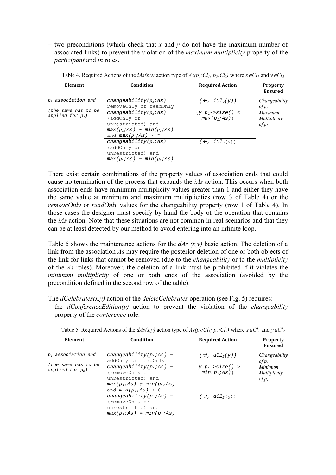$-$  two preconditions (which check that *x* and *y* do not have the maximum number of associated links) to prevent the violation of the *maximum multiplicity* property of the *participant* and *in* roles.

| Element                                    | Condition                        | <b>Required Action</b>               | <b>Property</b><br><b>Ensured</b> |
|--------------------------------------------|----------------------------------|--------------------------------------|-----------------------------------|
| $p_1$ association end                      | $changeability(p_i; As) =$       | $(\leftarrow, ic1_{2}(y))$           | Changeability                     |
|                                            | removeOnly or readOnly           |                                      | $of p_1$                          |
| (the same has to be<br>applied for $p_2$ ) | $changeability(p_i; As) =$       | $\{y, p_{i} \rightarrow size() \leq$ | Maximum                           |
|                                            | (addOnly or                      | $max(p_i; As)$                       | Multiplicity                      |
|                                            | unrestricted) and                |                                      | $of p_1$                          |
|                                            | $max(p_i, As) \neq min(p_i, As)$ |                                      |                                   |
|                                            | and $max(p_1; As) \neq *$        |                                      |                                   |
|                                            | $changeability(p_1; As) =$       | $(\leftarrow, \text{icl}_{2}(y))$    |                                   |
|                                            | (addOnly or                      |                                      |                                   |
|                                            | unrestricted) and                |                                      |                                   |
|                                            | $max(p_i, As) = min(p_i, As)$    |                                      |                                   |

Table 4. Required Actions of the *iAs(x,y)* action type of  $As(p_1;Cl_1; p_2;Cl_2)$  where  $x \in Cl_1$  and  $y \in Cl_2$ 

There exist certain combinations of the property values of association ends that could cause no termination of the process that expands the *iAs* action. This occurs when both association ends have minimum multiplicity values greater than 1 and either they have the same value at minimum and maximum multiplicities (row 3 of Table 4) or the *removeOnly* or *readOnly* values for the changeability property (row 1 of Table 4). In those cases the designer must specify by hand the body of the operation that contains the *iAs* action. Note that these situations are not common in real scenarios and that they can be at least detected by our method to avoid entering into an infinite loop.

Table 5 shows the maintenance actions for the *dAs (x,y)* basic action. The deletion of a link from the association *As* may require the posterior deletion of one or both objects of the link for links that cannot be removed (due to the *changeability* or to the *multiplicity* of the *As* roles). Moreover, the deletion of a link must be prohibited if it violates the *minimum multiplicity* of one or both ends of the association (avoided by the precondition defined in the second row of the table).

The *dCelebrates(x,y)* action of the *deleteCelebrates* operation (see Fig. 5) requires:

 $\theta$  the *dConferenceEdition(y)* action to prevent the violation of the *changeability* property of the *conference* role.

| Element                                    | . J F ÷<br>Condition                                                                                                             | $T_{1}$ $T_{2}$ $T_{3}$ $T_{4}$ $T_{5}$ $T_{6}$ $T_{7}$ $T_{8}$ $T_{9}$ $T_{10}$ $T_{11}$ $T_{12}$ $T_{13}$ $T_{14}$ $T_{15}$ $T_{16}$ $T_{17}$ $T_{18}$ $T_{19}$ $T_{10}$ $T_{11}$ $T_{12}$ $T_{13}$ $T_{14}$ $T_{15}$ $T_{16}$ $T_{17}$ $T_{18}$ $T_{19}$<br><b>Required Action</b> | <b>Property</b><br><b>Ensured</b>   |
|--------------------------------------------|----------------------------------------------------------------------------------------------------------------------------------|---------------------------------------------------------------------------------------------------------------------------------------------------------------------------------------------------------------------------------------------------------------------------------------|-------------------------------------|
| $p_1$ association end                      | changeability( $p_1$ ;As) =<br>addOnly or readOnly                                                                               | $(\rightarrow, dCl_2(y))$                                                                                                                                                                                                                                                             | Changeability<br>$of p_1$           |
| (the same has to be<br>applied for $p_2$ ) | changeability( $p_1$ ;As) =<br>(removeOnly or<br>unrestricted) and<br>$max(p_i; As) \neq min(p_i; As)$<br>and $min(p_1; As) > 0$ | $\{y.p_1 \rightarrow size() >$<br>$min(p_1; As)$                                                                                                                                                                                                                                      | Minimum<br>Multiplicity<br>$of p_1$ |
|                                            | changeability( $p_1$ ;As) =<br>(removeOnly or<br>unrestricted) and<br>$max(p_i; As) = min(p_i; As)$                              | $(\rightarrow, dCl_{2}(y))$                                                                                                                                                                                                                                                           |                                     |

Table 5. Required Actions of the  $dAs(x, y)$  action type of  $As(p_1:Cl_1; p_2:Cl_2)$  where  $x \in Cl_1$  and  $y \in Cl_2$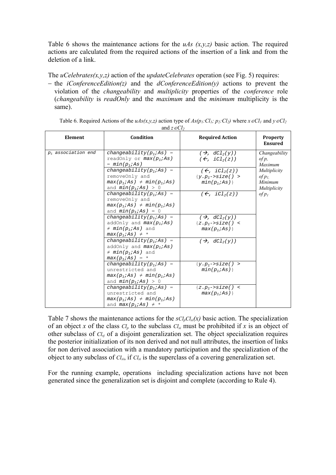Table 6 shows the maintenance actions for the  $uAs (x,y,z)$  basic action. The required actions are calculated from the required actions of the insertion of a link and from the deletion of a link.

The *uCelebrates(x,y,z)* action of the *updateCelebrates* operation (see Fig. 5) requires:

 $-$  the *iConferenceEdition(z)* and the *dConferenceEdition(y)* actions to prevent the violation of the *changeability* and *multiplicity* properties of the *conference* role (*changeability* is *readOnly* and the *maximum* and the *minimum* multiplicity is the same).

|                       | .                                                                                                                  |                                                                              |                                                            |
|-----------------------|--------------------------------------------------------------------------------------------------------------------|------------------------------------------------------------------------------|------------------------------------------------------------|
| Element               | Condition                                                                                                          | <b>Required Action</b>                                                       | <b>Property</b><br><b>Ensured</b>                          |
| $p_1$ association end | changeability( $p_1$ ; As) =<br>readonly or $max(p_i, As)$<br>$= min(p1; As)$<br>$changeability(p_i; As) =$        | $(\rightarrow, dCl_2(y))$<br>$(\leftarrow, icl_2(z))$                        | Changeability<br>of p,<br><b>Maximum</b>                   |
|                       | removeOnly and<br>$max(p_1, As) \neq min(p_1, As)$<br>and $min(p_1, As) > 0$                                       | $(\leftarrow, icl_2(z))$<br>$\{y.p_1 \rightarrow size() >$<br>$min(p_1; As)$ | <i>Multiplicity</i><br>$of p_1$<br>Minimum<br>Multiplicity |
|                       | $changeability(p_1; As) =$<br>removeOnly and<br>$max(p_1, As) \neq min(p_1, As)$<br>and $min(p_1, As) = 0$         | $(\leftarrow, icl_2(z))$                                                     | $of p_1$                                                   |
|                       | changeability( $p_1$ ; As) =<br>addOnly and $max(p_1; As)$<br>$\neq$ min( $p_1$ ; As) and<br>$max(p_1, As) \neq *$ | $(\rightarrow, dCl_2(y))$<br>${z.p_1->size( ) \leq$<br>$max(p_1; As)$        |                                                            |
|                       | changeability( $p_1$ ; As) =<br>addOnly and $max(p_1, AS)$<br>$\neq$ min( $p_i$ ; As) and<br>$max(p_1, As) = *$    | $(\rightarrow, dCl_2(y))$                                                    |                                                            |
|                       | $changeability(p_1; As) =$<br>unrestricted and<br>$max(p_1, As) \neq min(p_1, As)$<br>and $min(p_1, As) > 0$       | $\{y, p_{i} \rightarrow size() \ge$<br>$min(p_1; As)$                        |                                                            |
|                       | $changeability(p_i; As) =$<br>unrestricted and<br>$max(p_1, As) \neq min(p_1, As)$<br>and $max(p_1, As) \neq *$    | $\{z, p, -\infty   z \in (x) \}$<br>$max(p_1; As)$                           |                                                            |

Table 6. Required Actions of the  $uAs(x,y,z)$  action type of  $As(p_1;Cl_1; p_2;Cl_2)$  where  $x \in Cl_1$  and  $y \in Cl_2$ and  $\overline{z} \in Cl_2$ 

Table 7 shows the maintenance actions for the  $\frac{sCl_pCl_s(x)}{x}$  basic action. The specialization of an object *x* of the class  $Cl_p$  to the subclass  $Cl_{si}$  must be prohibited if *x* is an object of other subclass of *Clsj* of a disjoint generalization set. The object specialization requires the posterior initialization of its non derived and not null attributes, the insertion of links for non derived association with a mandatory participation and the specialization of the object to any subclass of *Clsi*, if *Clsi* is the superclass of a covering generalization set.

For the running example, operations including specialization actions have not been generated since the generalization set is disjoint and complete (according to Rule 4).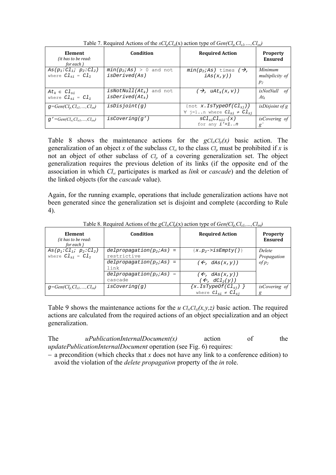|                                                          | $-1$                                               |                                                                              |                                            |
|----------------------------------------------------------|----------------------------------------------------|------------------------------------------------------------------------------|--------------------------------------------|
| Element<br><i>(it has to be read:</i><br>for each)       | Condition                                          |                                                                              | <b>Property</b><br><b>Ensured</b>          |
| $As(p_1:Cl_1; p_2:Cl_2)$<br>where $Cl_{\sigma i} = Cl_i$ | $min(p_2, As) > 0$ and not<br><i>isDerived(As)</i> | $min(p_2; As)$ times ( $\rightarrow$ ,<br>iAs(x,y)                           | Minimum<br><i>multiplicity of</i><br>$p_2$ |
| $At_k \in CL_{si}$<br>where $CI_{si} = CI_1$             | $isNotNull(Atk)$ and not<br>$isDerived(At_k)$      | $(\rightarrow, uAt_{k}(x, v))$                                               | isNotNull of<br>$At_k$                     |
| $q = Gen(Cl_nCl_s, , Cl_{sn})$                           | isDisjoint(q)                                      | {not x.IsTypeOf( $Cl_{si}$ )}<br>$\forall$ j=1n where $Cl_{si} \neq Cl_{si}$ | <i>isDisjoint of g</i>                     |
| $q' = Gen(Cl_{si}Cl_{sil}, \ldots, Cl_{sin})$            | isCovering(q')                                     | $SCl_{si}Cl_{sij}/(x)$<br>for any $i'=1 \ldots n$                            | isCovering of<br>g'                        |

Table 7. Required Actions of the *sCl<sub>p</sub>Cl<sub>p</sub>(x)* action type of *Gen(Cl<sub>p</sub>Cl<sub>n</sub>) Cl<sub>n</sub>*)</sub>

Table 8 shows the maintenance actions for the  $gCl<sub>s</sub>Cl<sub>p</sub>(x)$  basic action. The generalization of an object *x* of the subclass  $Cl<sub>x</sub>$  to the class  $Cl<sub>n</sub>$  must be prohibited if *x* is not an object of other subclass of  $Cl_p$  of a covering generalization set. The object generalization requires the previous deletion of its links (if the opposite end of the association in which *Clsi* participates is marked as *link* or *cascade*) and the deletion of the linked objects (for the *cascade* value).

Again, for the running example, operations that include generalization actions have not been generated since the generalization set is disjoint and complete (according to Rule 4).

| Element<br>(it has to be read:<br>for each)        | Condition                                   | <b>Required Action</b>                                 | <b>Property</b><br><b>Ensured</b> |
|----------------------------------------------------|---------------------------------------------|--------------------------------------------------------|-----------------------------------|
| $As(p_1:Cl_1; p_2:Cl_2)$<br>where $CI_{si} = CI_1$ | $delpropaqation(p_2; As) =$<br>restrictive  | $\{x, p_{2} \rightarrow i \text{ sEmpty}(\ )\}$        | Delete<br>Propagation             |
|                                                    | $de1$ propagation( $p_2$ ; As) =<br>link    | $(\leftarrow, dAs(x,y))$                               | of $p_2$                          |
|                                                    | $de1$ propagation( $p_2$ ; As) =<br>cascade | $(\leftarrow, dAs(x,y))$<br>$(\leftarrow, dCl_{2}(y))$ |                                   |
| $g = Gen(Cl_p(Cl_{s1},,Cl_{sn})$                   | isCovering(q)                               | $\{x.\texttt{ISTypeOf}(\texttt{Cl}_{si})\}$            | isCovering of                     |
|                                                    |                                             | where $CI_{si} \neq CI_{si}$                           |                                   |

Table 8. Required Actions of the  $gCl$  Cl (x) action type of  $GenCl$  Cl<sub>i</sub> $Cl$ <sup>3</sup>

Table 9 shows the maintenance actions for the *u*  $Cl<sub>si</sub>Cl<sub>si</sub>(x,y,z)$  basic action. The required actions are calculated from the required actions of an object specialization and an object generalization.

The *uPublicationInternalDocument(x)* action of the *updatePublicationInternalDocument* operation (see Fig. 6) requires:

 a precondition (which checks that *x* does not have any link to a conference edition) to avoid the violation of the *delete propagation* property of the *in* role.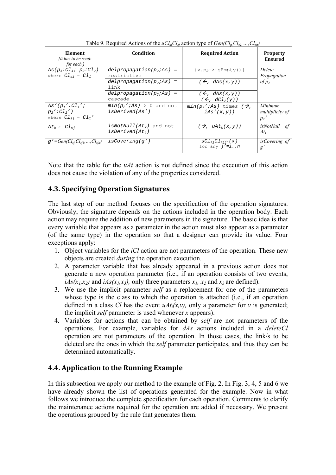|                                                                    |                                                      | $= 2 - 1$                                              |                                      |
|--------------------------------------------------------------------|------------------------------------------------------|--------------------------------------------------------|--------------------------------------|
| Element<br><i>(it has to be read:</i><br>for each)                 | Condition                                            | <b>Required Action</b>                                 | <b>Property</b><br><b>Ensured</b>    |
| $As(p_1:Cl_1; p_2:Cl_2)$<br>where $Cl_{\sigma i} = Cl_i$           | $delpropaqation(p_2; As) =$<br>restrictive           | $\{x.p_2->isEmpty() \}$                                | Delete<br>Propagation                |
|                                                                    | $de1$ propagation( $p_2$ ;As) =<br>link              | $(\leftarrow, dAs(x,y))$                               | of $p_2$                             |
|                                                                    | $delpropaqation(p_2; As) =$<br>cascade               | $(\leftarrow, dAs(x,y))$<br>$(\leftarrow, dCl_{2}(y))$ |                                      |
| $As'(p_1':Cl_1':$<br>$p_2'$ : $Cl_2'$ )<br>where $CI_{si} = CI_1'$ | $min(p_2'; As) > 0$ and not<br><i>isDerived(As')</i> | $min(p_2$ ';As) times ( $\rightarrow$ ,<br>iAs'(x,y)   | Minimum<br>multiplicity of<br>$p_2'$ |
| $At_k \in CI_{si}$                                                 | $isNotNull(At_k)$ and not<br>$isDerived(At_{k})$     | $(\rightarrow, uAt_k(x,y))$                            | isNotNull of<br>$At_k$               |
| $g' = Gen(Cl_{si,}Cl_{sjl}, , Cl_{sjn})$                           | isCovering(q')                                       | $SCl_{si}Cl_{sji'}(x)$<br>for any $j'=1n$              | <i>isCovering of</i><br>g'           |

Table 9. Required Actions of the *uCl<sub>s</sub>Cl<sub>s</sub>* action type of *Gen(Cl<sub>s</sub>Cl<sub>s1</sub>, Cl<sub>sn</sub>)</sub>* 

Note that the table for the *uAt* action is not defined since the execution of this action does not cause the violation of any of the properties considered.

### **4.3. Specifying Operation Signatures**

The last step of our method focuses on the specification of the operation signatures. Obviously, the signature depends on the actions included in the operation body. Each action may require the addition of new parameters in the signature. The basic idea is that every variable that appears as a parameter in the action must also appear as a parameter (of the same type) in the operation so that a designer can provide its value. Four exceptions apply:

- 1. Object variables for the *iCl* action are not parameters of the operation. These new objects are created *during* the operation execution.
- 2. A parameter variable that has already appeared in a previous action does not generate a new operation parameter (i.e., if an operation consists of two events,  $iAs(x_1,x_2)$  and  $iAs(x_1,x_3)$ , only three parameters  $x_1, x_2$  and  $x_3$  are defined).
- 3. We use the implicit parameter *self* as a replacement for one of the parameters whose type is the class to which the operation is attached (i.e., if an operation defined in a class *Cl* has the event  $uAt<sub>i</sub>(x, v)$ , only a parameter for *v* is generated; the implicit *self* parameter is used whenever *x* appears).
- 4. Variables for actions that can be obtained by *self* are not parameters of the operations. For example, variables for *dAs* actions included in a *deleteCl* operation are not parameters of the operation. In those cases, the link/s to be deleted are the ones in which the *self* parameter participates, and thus they can be determined automatically.

## **4.4. Application to the Running Example**

In this subsection we apply our method to the example of Fig. 2. In Fig. 3, 4, 5 and 6 we have already shown the list of operations generated for the example. Now in what follows we introduce the complete specification for each operation. Comments to clarify the maintenance actions required for the operation are added if necessary. We present the operations grouped by the rule that generates them.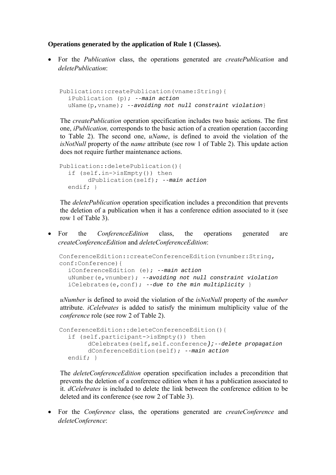#### **Operations generated by the application of Rule 1 (Classes).**

 For the *Publication* class, the operations generated are *createPublication* and *deletePublication*:

```
 Publication::createPublication(vname:String){ 
  iPublication (p); --main action 
  uName(p,vname); --avoiding not null constraint violation}
```
The *createPublication* operation specification includes two basic actions. The first one, *iPublication,* corresponds to the basic action of a creation operation (according to Table 2). The second one, *uName*, is defined to avoid the violation of the *isNotNull* property of the *name* attribute (see row 1 of Table 2). This update action does not require further maintenance actions.

```
 Publication::deletePublication(){ 
  if (self.in->isEmpty()) then 
        dPublication(self); --main action 
  endif; }
```
The *deletePublication* operation specification includes a precondition that prevents the deletion of a publication when it has a conference edition associated to it (see row 1 of Table 3).

 For the *ConferenceEdition* class, the operations generated are *createConferenceEdition* and *deleteConferenceEdition*:

```
 ConferenceEdition::createConferenceEdition(vnumber:String, 
 conf:Conference){ 
  iConferenceEdition (e); --main action 
  uNumber(e,vnumber); --avoiding not null constraint violation
  iCelebrates(e,conf); --due to the min multiplicity }
```
*uNumber* is defined to avoid the violation of the *isNotNull* property of the *number* attribute. *iCelebrates* is added to satisfy the minimum multiplicity value of the *conference* role (see row 2 of Table 2).

```
 ConferenceEdition::deleteConferenceEdition(){ 
   if (self.participant->isEmpty()) then 
         dCelebrates(self,self.conference);--delete propagation 
        dConferenceEdition(self); --main action 
  endif; }
```
The *deleteConferenceEdition* operation specification includes a precondition that prevents the deletion of a conference edition when it has a publication associated to it. *dCelebrates* is included to delete the link between the conference edition to be deleted and its conference (see row 2 of Table 3).

 For the *Conference* class, the operations generated are *createConference* and *deleteConference*: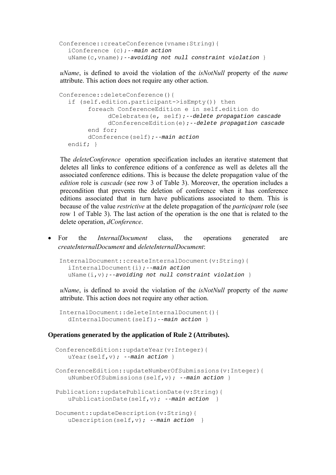```
 Conference::createConference(vname:String){ 
  iConference (c);--main action 
  uName(c,vname);--avoiding not null constraint violation }
```
*uName*, is defined to avoid the violation of the *isNotNull* property of the *name* attribute. This action does not require any other action.

```
 Conference::deleteConference(){ 
  if (self.edition.participant->isEmpty()) then 
        foreach ConferenceEdition e in self.edition do 
              dCelebrates(e, self);--delete propagation cascade 
              dConferenceEdition(e);--delete propagation cascade 
         end for; 
        dConference(self);--main action 
  endif; }
```
The *deleteConference* operation specification includes an iterative statement that deletes all links to conference editions of a conference as well as deletes all the associated conference editions. This is because the delete propagation value of the *edition* role is *cascade* (see row 3 of Table 3). Moreover, the operation includes a precondition that prevents the deletion of conference when it has conference editions associated that in turn have publications associated to them. This is because of the value *restrictive* at the delete propagation of the *participant* role (see row 1 of Table 3). The last action of the operation is the one that is related to the delete operation, *dConference*.

 For the *InternalDocument* class, the operations generated are *createInternalDocument* and *deleteInternalDocument*:

```
 InternalDocument::createInternalDocument(v:String){ 
  iInternalDocument(i);--main action
  uName(i,v);--avoiding not null constraint violation }
```
*uName*, is defined to avoid the violation of the *isNotNull* property of the *name* attribute. This action does not require any other action.

```
 InternalDocument::deleteInternalDocument(){ 
  dInternalDocument(self);--main action }
```
#### **Operations generated by the application of Rule 2 (Attributes).**

```
 ConferenceEdition::updateYear(v:Integer){ 
   uYear(self,v); --main action }
 ConferenceEdition::updateNumberOfSubmissions(v:Integer){ 
   uNumberOfSubmissions(self,v); --main action }
 Publication::updatePublicationDate(v:String){ 
   uPublicationDate(self,v); --main action }
 Document::updateDescription(v:String){ 
   uDescription(self,v); --main action }
```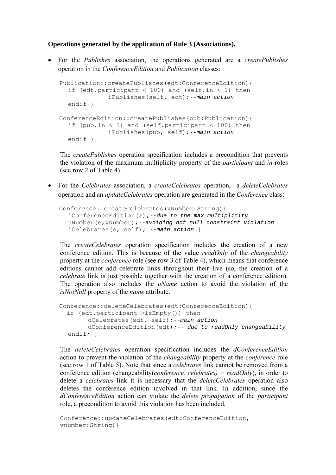#### **Operations generated by the application of Rule 3 (Associations).**

 For the *Publishes* association, the operations generated are a *createPublishes* operation in the *ConferenceEdition* and *Publication* classes:

```
 Publication::createPublishes(edt:ConferenceEdition){ 
  if (edt.participant \langle 100) and (self.in \langle 1) then
                iPublishes(self, edt);--main action 
   endif } 
 ConferenceEdition::createPublishes(pub:Publication){ 
  if (pub.in \langle 1 \rangle and (self.participant \langle 100 \rangle then
                iPublishes(pub, self);--main action 
   endif }
```
The *createPublishes* operation specification includes a precondition that prevents the violation of the maximum multiplicity property of the *participant* and *in* roles (see row 2 of Table 4).

 For the *Celebrates* association, a *createCelebrates* operation, a *deleteCelebrates* operation and an *updateCelebrates* operation are generated in the *Conference* class:

```
 Conference::createCelebrates(vNumber:String){ 
   iConferenceEdition(e);--due to the max multiplicity
  uNumber(e,vNumber);--avoiding not null constraint violation
   iCelebrates(e, self); --main action }
```
The *createCelebrates* operation specification includes the creation of a new conference edition. This is because of the value *readOnly* of the *changeability* property at the *conference* role (see row 3 of Table 4), which means that conference editions cannot add celebrate links throughout their live (so, the creation of a *celebrate* link is just possible together with the creation of a conference edition). The operation also includes the *uName* action to avoid the violation of the *isNotNull* property of the *name* attribute.

```
 Conference::deleteCelebrates(edt:ConferenceEdition){ 
   if (edt.participant->isEmpty()) then 
        dCelebrates(edt, self);--main action 
        dConferenceEdition(edt);-- due to readOnly changeability
   endif; }
```
The *deleteCelebrates* operation specification includes the *dConferenceEdition* action to prevent the violation of the *changeability* property at the *conference* role (see row 1 of Table 5). Note that since a *celebrates* link cannot be removed from a conference edition (changeability(*conference, celebrates) = readOnly*), in order to delete a *celebrates* link it is necessary that the *deleteCelebrates* operation also deletes the conference edition involved in that link. In addition, since the *dConferenceEdition* action can violate the *delete propagation* of the *participant* role, a precondition to avoid this violation has been included.

```
Conference::updateCelebrates(edt:ConferenceEdition, 
vnumber:String){
```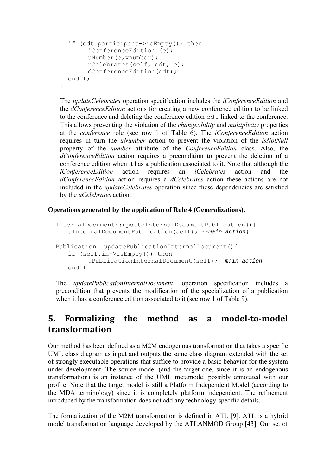```
if (edt.participant->isEmpty()) then 
     iConferenceEdition (e); 
     uNumber(e,vnumber); 
     uCelebrates(self, edt, e); 
      dConferenceEdition(edt); 
endif;
```
}

The *updateCelebrates* operation specification includes the *iConferenceEdition* and the *dConferenceEdition* actions for creating a new conference edition to be linked to the conference and deleting the conference edition edt linked to the conference. This allows preventing the violation of the *changeability* and *multiplicity* properties at the *conference* role (see row 1 of Table 6). The *iConferenceEdition* action requires in turn the *uNumber* action to prevent the violation of the *isNotNull* property of the *number* attribute of the *ConferenceEdition* class. Also, the *dConferenceEdition* action requires a precondition to prevent the deletion of a conference edition when it has a publication associated to it. Note that although the *iConferenceEdition* action requires an *iCelebrates* action and the *dConferenceEdition* action requires a *dCelebrates* action these actions are not included in the *updateCelebrates* operation since these dependencies are satisfied by the *uCelebrates* action.

**Operations generated by the application of Rule 4 (Generalizations).** 

```
 InternalDocument::updateInternalDocumentPublication(){ 
    uInternalDocumentPublication(self); --main action} 
 Publication::updatePublicationInternalDocument(){ 
    if (self.in->isEmpty()) then 
         uPublicationInternalDocument(self);--main action
   endif }
```
The *updatePublicationInternalDocument* operation specification includes a precondition that prevents the modification of the specialization of a publication when it has a conference edition associated to it (see row 1 of Table 9).

## **5. Formalizing the method as a modeltomodel transformation**

Our method has been defined as a M2M endogenous transformation that takes a specific UML class diagram as input and outputs the same class diagram extended with the set of strongly executable operations that suffice to provide a basic behavior for the system under development. The source model (and the target one, since it is an endogenous transformation) is an instance of the UML metamodel possibly annotated with our profile. Note that the target model is still a Platform Independent Model (according to the MDA terminology) since it is completely platform independent. The refinement introduced by the transformation does not add any technology-specific details.

The formalization of the M2M transformation is defined in ATL [9]. ATL is a hybrid model transformation language developed by the ATLANMOD Group [43]. Our set of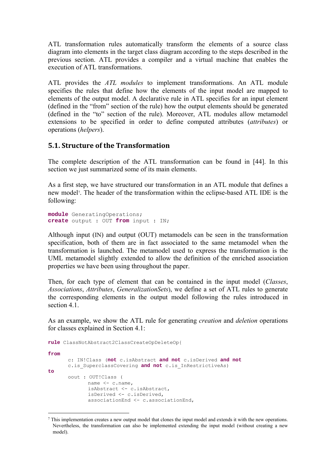ATL transformation rules automatically transform the elements of a source class diagram into elements in the target class diagram according to the steps described in the previous section. ATL provides a compiler and a virtual machine that enables the execution of ATL transformations.

ATL provides the *ATL modules* to implement transformations. An ATL module specifies the rules that define how the elements of the input model are mapped to elements of the output model. A declarative rule in ATL specifies for an input element (defined in the "from" section of the rule) how the output elements should be generated (defined in the "to" section of the rule). Moreover, ATL modules allow metamodel extensions to be specified in order to define computed attributes (*attributes*) or operations (*helpers*).

### **5.1. Structure of the Transformation**

The complete description of the ATL transformation can be found in [44]. In this section we just summarized some of its main elements.

As a first step, we have structured our transformation in an ATL module that defines a new model7. The header of the transformation within the eclipse-based ATL IDE is the following:

```
module GeneratingOperations; 
create output : OUT from input : IN;
```
1

Although input (IN) and output (OUT) metamodels can be seen in the transformation specification, both of them are in fact associated to the same metamodel when the transformation is launched. The metamodel used to express the transformation is the UML metamodel slightly extended to allow the definition of the enriched association properties we have been using throughout the paper.

Then, for each type of element that can be contained in the input model (*Classes*, *Associations*, *Attributes*, *GeneralizationSets*), we define a set of ATL rules to generate the corresponding elements in the output model following the rules introduced in section 4.1.

As an example, we show the ATL rule for generating *creation* and *deletion* operations for classes explained in Section 4.1:

```
rule ClassNotAbstract2ClassCreateOpDeleteOp{ 
from
      c: IN!Class (not c.isAbstract and not c.isDerived and not
      c.is_SuperclassCovering and not c.is_InRestrictiveAs) 
to
       oout : OUT!Class ( 
              name <- c.name, 
              isAbstract <- c.isAbstract, 
              isDerived <- c.isDerived, 
              associationEnd <- c.associationEnd,
```
 $<sup>7</sup>$  This implementation creates a new output model that clones the input model and extends it with the new operations.</sup> Nevertheless, the transformation can also be implemented extending the input model (without creating a new model).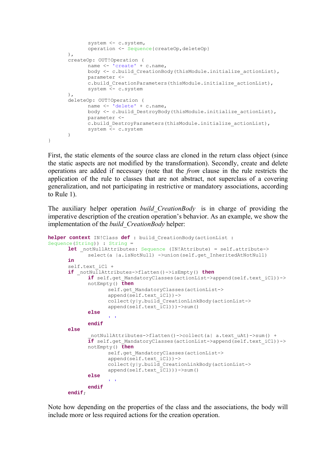```
system <- c.system,
               operation <- Sequence{createOp,deleteOp} 
        ), 
        createOp: OUT!Operation ( 
              name \leftarrow 'create' + c.name,
              body <- c.build CreationBody(thisModule.initialize actionList),
              parameter <- 
              c.build CreationParameters(thisModule.initialize actionList),
              system \overline{C} - c.system
        ), 
        deleteOp: OUT!Operation ( 
              name <- 'delete' + c.name, 
              body <- c.build_DestroyBody(thisModule.initialize_actionList), 
              parameter <-
              c.build_DestroyParameters(thisModule.initialize_actionList), 
              system \overline{C}- c.system
        ) 
}
```
First, the static elements of the source class are cloned in the return class object (since the static aspects are not modified by the transformation). Secondly, create and delete operations are added if necessary (note that the *from* clause in the rule restricts the application of the rule to classes that are not abstract, not superclass of a covering generalization, and not participating in restrictive or mandatory associations, according to Rule 1).

The auxiliary helper operation *build\_CreationBody* is in charge of providing the imperative description of the creation operation's behavior. As an example, we show the implementation of the *build\_CreationBody* helper:

```
helper context IN!Class def : build_CreationBody(actionList : 
Sequence(String)) : String = 
      let _notNullAttributes: Sequence (IN!Attribute) = self.attribute-> 
             select(a | a.isNotNull) ->union(self.get InheritedAtNotNull)
      in
       self.text_iCl +
       if _notNullAttributes->flatten()->isEmpty() then
             if self.get MandatoryClasses(actionList->append(self.text iCl))->
             notEmpty() then
                     self.get MandatoryClasses(actionList->
                    append(self.text_iCl))->
                    collect(y|y.build CreationLinkBody(actionList->
                    append(self.text\overline{i}Cl)))->sum()
              else
 ' '
              endif
       else
               notNullAttributes->flatten()->collect(a| a.text uAt)->sum() +
             \overline{\bf if} self.get MandatoryClasses(actionList->append(self.text_iCl))->
             notEmpty() then
                    self.get MandatoryClasses(actionList->
                    append(self.text iCl))->
                    collect(y|y.build CreationLinkBody(actionList-)append(self.text_iCl)))->sum() 
              else
the state of the state of the state of the state of
              endif
       endif;
```
Note how depending on the properties of the class and the associations, the body will include more or less required actions for the creation operation.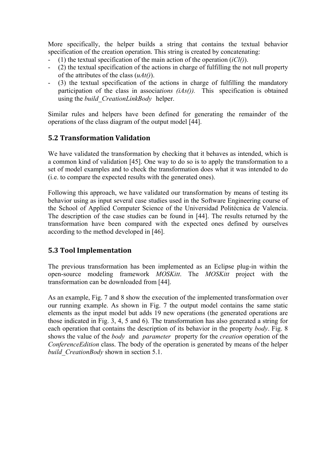More specifically, the helper builds a string that contains the textual behavior specification of the creation operation. This string is created by concatenating:

- $(1)$  the textual specification of the main action of the operation  $(iCl<sub>1</sub>)$ .
- (2) the textual specification of the actions in charge of fulfilling the not null property of the attributes of the class (*uAt()*).
- (3) the textual specification of the actions in charge of fulfilling the mandatory participation of the class in associa*tions (iAs()).* This specification is obtained using the *build\_CreationLinkBody* helper.

Similar rules and helpers have been defined for generating the remainder of the operations of the class diagram of the output model [44].

### **5.2 Transformation Validation**

We have validated the transformation by checking that it behaves as intended, which is a common kind of validation [45]. One way to do so is to apply the transformation to a set of model examples and to check the transformation does what it was intended to do (i.e. to compare the expected results with the generated ones).

Following this approach, we have validated our transformation by means of testing its behavior using as input several case studies used in the Software Engineering course of the School of Applied Computer Science of the Universidad Politécnica de Valencia. The description of the case studies can be found in [44]. The results returned by the transformation have been compared with the expected ones defined by ourselves according to the method developed in [46].

### **5.3 Tool Implementation**

The previous transformation has been implemented as an Eclipse plug-in within the open-source modeling framework *MOSKitt*. The *MOSKitt* project with the transformation can be downloaded from [44].

As an example, Fig. 7 and 8 show the execution of the implemented transformation over our running example. As shown in Fig. 7 the output model contains the same static elements as the input model but adds 19 new operations (the generated operations are those indicated in Fig. 3, 4, 5 and 6). The transformation has also generated a string for each operation that contains the description of its behavior in the property *body*. Fig. 8 shows the value of the *body* and *parameter* property for the *creation* operation of the *ConferenceEdition* class. The body of the operation is generated by means of the helper *build\_CreationBody* shown in section 5.1.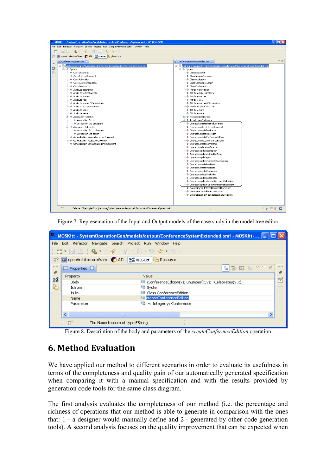| MOSKitt - SystemOperationGen/models/testmodels/ConferenceSystem.xmi - MOSKitt-SDK                                                                                                                                                                                                                                                                                                                                                                                                                                                                                                                                                                                                                            | - 10 X                                                                                                                                                                                                                                                                                                                                                                                                                                                                                                                                                                                                                                                                                                                                                                                                                                                                                                                                                                                                                                                                                                                                                                                                                                                                                            |
|--------------------------------------------------------------------------------------------------------------------------------------------------------------------------------------------------------------------------------------------------------------------------------------------------------------------------------------------------------------------------------------------------------------------------------------------------------------------------------------------------------------------------------------------------------------------------------------------------------------------------------------------------------------------------------------------------------------|---------------------------------------------------------------------------------------------------------------------------------------------------------------------------------------------------------------------------------------------------------------------------------------------------------------------------------------------------------------------------------------------------------------------------------------------------------------------------------------------------------------------------------------------------------------------------------------------------------------------------------------------------------------------------------------------------------------------------------------------------------------------------------------------------------------------------------------------------------------------------------------------------------------------------------------------------------------------------------------------------------------------------------------------------------------------------------------------------------------------------------------------------------------------------------------------------------------------------------------------------------------------------------------------------|
| File Edit Refactor Navigate Search Project Run Sample-Reflective-Editor Window Help                                                                                                                                                                                                                                                                                                                                                                                                                                                                                                                                                                                                                          |                                                                                                                                                                                                                                                                                                                                                                                                                                                                                                                                                                                                                                                                                                                                                                                                                                                                                                                                                                                                                                                                                                                                                                                                                                                                                                   |
| $\mathbf{D}^{\bullet} \cdot \mathbb{H} \oplus \{ \mathbf{Q}_{\bullet} \mid \mathcal{A} \mid \mathcal{A} \mid \mathcal{A} \cdot \mathbf{P} \cdot \mathbf{Q} \cdot \mathbf{Q} \cdot \mathbf{P} \}$                                                                                                                                                                                                                                                                                                                                                                                                                                                                                                             |                                                                                                                                                                                                                                                                                                                                                                                                                                                                                                                                                                                                                                                                                                                                                                                                                                                                                                                                                                                                                                                                                                                                                                                                                                                                                                   |
| <b>FFI</b> We openArchitectureWare <b>C</b> ATL <b>EX</b> MOSKitt <b>C</b> Resource                                                                                                                                                                                                                                                                                                                                                                                                                                                                                                                                                                                                                          |                                                                                                                                                                                                                                                                                                                                                                                                                                                                                                                                                                                                                                                                                                                                                                                                                                                                                                                                                                                                                                                                                                                                                                                                                                                                                                   |
| 1111<br>ConferenceSystem.xmi 23                                                                                                                                                                                                                                                                                                                                                                                                                                                                                                                                                                                                                                                                              | $=$ $=$<br>ConferenceSystemExtended.xmi 23                                                                                                                                                                                                                                                                                                                                                                                                                                                                                                                                                                                                                                                                                                                                                                                                                                                                                                                                                                                                                                                                                                                                                                                                                                                        |
| $\varpi$<br>E X platform:/resource/SystemOperationGen/models/testmodels/ConferenceSystem.xmi                                                                                                                                                                                                                                                                                                                                                                                                                                                                                                                                                                                                                 | E X platform:/resource/SystemOperationGen/models/output/ConferenceSystemExtended.xml                                                                                                                                                                                                                                                                                                                                                                                                                                                                                                                                                                                                                                                                                                                                                                                                                                                                                                                                                                                                                                                                                                                                                                                                              |
| <b>N</b><br><b>E- ← System</b><br>ħ<br>← Class Document<br>← Class InternalDocument<br>Class Publication<br>♦ Class ConferenceEdition<br>Class Conference<br>← Attribute description<br>← Attribute publicationDate<br>← Attribute number<br>← Attribute year<br>← Attribute numberOfSubmissions<br>→ Attribute acceptanceRatio<br>← Attribute name<br>← Attribute name<br><b>E</b> + Association Publishes<br>← Association End in<br>← Association End participant<br><b>E</b> + Association Celebrates<br>♦ Association End conference<br>← Association End edition<br>♦ Generalization InternalDocumentDocument<br>← Generalization PublicationDocument<br>♦ Generalization Set SpecializationOfDocument | <b>E</b> ÷ System<br>♦ Class Document<br>Class InternalDocument<br>← Class Publication<br>♦ Class ConferenceEdition<br>Class Conference<br>♦ Attribute description<br>♦ Attribute publicationDate<br>♦ Attribute number<br>♦ Attribute year<br>♦ Attribute numberOfSubmissions<br>→ Attribute acceptanceRatio<br>← Attribute name<br>♦ Attribute name<br><b>E</b> $\rightarrow$ Association Publishes<br><b>E</b> $\rightarrow$ Association Celebrates<br>♦ Operation createInternalDocument<br>← Operation deleteInternalDocument<br>♦ Operation createPublication<br>← Operation deletePublication<br>♦ Operation createConferenceEdition<br>♦ Operation deleteConferenceEdition<br>♦ Operation createConference<br>♦ Operation deleteConference<br>♦ Operation updatedescription<br>← Operation updatepublicationDate<br>♦ Operation updateyear<br>♦ Operation updatenumberOfSubmissions<br>♦ Operation createPublishes<br>♦ Operation createPublishes<br>♦ Operation createCelebrates<br>♦ Operation deleteCelebrates<br>♦ Operation updateCelebrates<br>♦ Operation updateInternalDocumentPublication<br>♦ Operation updatePublicationInternalDocument<br>← Generalization InternalDocumentDocument<br>← Generalization PublicationDocument<br>♦ Generalization Set SpecializationOfDocument |
| $\mathbb{D}^{\diamond}$<br>Selected Object: platform:/resource/SystemOperationGen/models/testmodels/ConferenceSystem.xmi                                                                                                                                                                                                                                                                                                                                                                                                                                                                                                                                                                                     | $B \equiv 2$                                                                                                                                                                                                                                                                                                                                                                                                                                                                                                                                                                                                                                                                                                                                                                                                                                                                                                                                                                                                                                                                                                                                                                                                                                                                                      |

Figure 7. Representation of the Input and Output models of the case study in the model tree editor

|    |                                                                                                                                                                                                                                                                                                                                                     | MOSKitt - SystemOperationGen/models/output/ConferenceSystemExtended.xmi - MOSKitt - [= |
|----|-----------------------------------------------------------------------------------------------------------------------------------------------------------------------------------------------------------------------------------------------------------------------------------------------------------------------------------------------------|----------------------------------------------------------------------------------------|
|    | File Edit Refactor Navigate Search Project Run Window Help                                                                                                                                                                                                                                                                                          |                                                                                        |
|    | $\begin{picture}(130,10) \put(0,0){\line(1,0){10}} \put(15,0){\line(1,0){10}} \put(15,0){\line(1,0){10}} \put(15,0){\line(1,0){10}} \put(15,0){\line(1,0){10}} \put(15,0){\line(1,0){10}} \put(15,0){\line(1,0){10}} \put(15,0){\line(1,0){10}} \put(15,0){\line(1,0){10}} \put(15,0){\line(1,0){10}} \put(15,0){\line(1,0){10}} \put(15,0){\line($ |                                                                                        |
| 酻  | Aw openArchitectureWare C ATL EX MOSKitt & Resource                                                                                                                                                                                                                                                                                                 |                                                                                        |
| 臣  | $\Box$ Properties $\boxtimes$                                                                                                                                                                                                                                                                                                                       | 티 수 國 陽 이 나는<br>占                                                                      |
|    | Property                                                                                                                                                                                                                                                                                                                                            | Value                                                                                  |
| Ą. | Body                                                                                                                                                                                                                                                                                                                                                | ۳<br>$\overline{\equiv}$ iConferenceEdition(x); unumber(x,v); iCelebrates(y,x);        |
| r  | <b>Isfrom</b>                                                                                                                                                                                                                                                                                                                                       | <b>コント</b>                                                                             |
|    | Is In                                                                                                                                                                                                                                                                                                                                               | <b>■ Class ConferenceEdition</b>                                                       |
|    | Name                                                                                                                                                                                                                                                                                                                                                | <b>LE</b> createConferenceEdition                                                      |
|    | Parameter                                                                                                                                                                                                                                                                                                                                           | ■ v: Integer y: Conference                                                             |
|    |                                                                                                                                                                                                                                                                                                                                                     |                                                                                        |
|    | <b>TITL</b>                                                                                                                                                                                                                                                                                                                                         |                                                                                        |
|    | ĦŶ<br>The Name feature of type EString                                                                                                                                                                                                                                                                                                              |                                                                                        |

Figure 8. Description of the body and parameters of the *createConferenceEdition* operation

## **6. Method Evaluation**

We have applied our method to different scenarios in order to evaluate its usefulness in terms of the completeness and quality gain of our automatically generated specification when comparing it with a manual specification and with the results provided by generation code tools for the same class diagram.

The first analysis evaluates the completeness of our method (i.e. the percentage and richness of operations that our method is able to generate in comparison with the ones that: 1 - a designer would manually define and 2 - generated by other code generation tools). A second analysis focuses on the quality improvement that can be expected when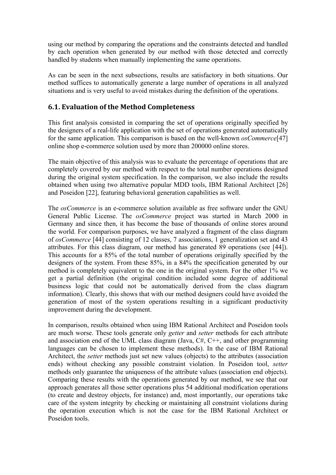using our method by comparing the operations and the constraints detected and handled by each operation when generated by our method with those detected and correctly handled by students when manually implementing the same operations.

As can be seen in the next subsections, results are satisfactory in both situations. Our method suffices to automatically generate a large number of operations in all analyzed situations and is very useful to avoid mistakes during the definition of the operations.

### **6.1. Evaluation of the Method Completeness**

This first analysis consisted in comparing the set of operations originally specified by the designers of a real-life application with the set of operations generated automatically for the same application. This comparison is based on the well-known *osCommerce*[47] online shop e-commerce solution used by more than 200000 online stores.

The main objective of this analysis was to evaluate the percentage of operations that are completely covered by our method with respect to the total number operations designed during the original system specification. In the comparison, we also include the results obtained when using two alternative popular MDD tools, IBM Rational Architect [26] and Poseidon [22], featuring behavioral generation capabilities as well.

The *osCommerce* is an e-commerce solution available as free software under the GNU General Public License. The *osCommerce* project was started in March 2000 in Germany and since then, it has become the base of thousands of online stores around the world. For comparison purposes, we have analyzed a fragment of the class diagram of *osCommerce* [44] consisting of 12 classes, 7 associations, 1 generalization set and 43 attributes. For this class diagram, our method has generated 89 operations (see [44]). This accounts for a 85% of the total number of operations originally specified by the designers of the system. From these 85%, in a 84% the specification generated by our method is completely equivalent to the one in the original system. For the other 1% we get a partial definition (the original condition included some degree of additional business logic that could not be automatically derived from the class diagram information). Clearly, this shows that with our method designers could have avoided the generation of most of the system operations resulting in a significant productivity improvement during the development.

In comparison, results obtained when using IBM Rational Architect and Poseidon tools are much worse. These tools generate only *getter* and *setter* methods for each attribute and association end of the UML class diagram (Java, C#, C++, and other programming languages can be chosen to implement these methods). In the case of IBM Rational Architect, the *setter* methods just set new values (objects) to the attributes (association ends) without checking any possible constraint violation. In Poseidon tool, *setter* methods only guarantee the uniqueness of the attribute values (association end objects). Comparing these results with the operations generated by our method, we see that our approach generates all those setter operations plus 54 additional modification operations (to create and destroy objects, for instance) and, most importantly, our operations take care of the system integrity by checking or maintaining all constraint violations during the operation execution which is not the case for the IBM Rational Architect or Poseidon tools.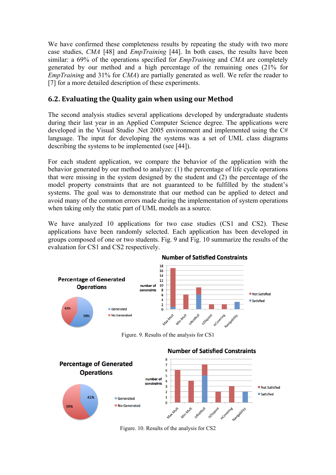We have confirmed these completeness results by repeating the study with two more case studies, *CMA* [48] and *EmpTraining* [44]. In both cases, the results have been similar: a 69% of the operations specified for *EmpTraining* and *CMA* are completely generated by our method and a high percentage of the remaining ones (21% for *EmpTraining* and 31% for *CMA*) are partially generated as well. We refer the reader to [7] for a more detailed description of these experiments.

### **6.2. Evaluating the Quality gain when using our Method**

The second analysis studies several applications developed by undergraduate students during their last year in an Applied Computer Science degree. The applications were developed in the Visual Studio .Net 2005 environment and implemented using the C# language. The input for developing the systems was a set of UML class diagrams describing the systems to be implemented (see [44]).

For each student application, we compare the behavior of the application with the behavior generated by our method to analyze: (1) the percentage of life cycle operations that were missing in the system designed by the student and (2) the percentage of the model property constraints that are not guaranteed to be fulfilled by the student's systems. The goal was to demonstrate that our method can be applied to detect and avoid many of the common errors made during the implementation of system operations when taking only the static part of UML models as a source.

We have analyzed 10 applications for two case studies (CS1 and CS2). These applications have been randomly selected. Each application has been developed in groups composed of one or two students. Fig. 9 and Fig. 10 summarize the results of the evaluation for CS1 and CS2 respectively.



Figure. 10. Results of the analysis for CS2

**Max Plutt** 

**Min Mult** 

isNothull

ispisjoir

 $\overline{2}$ 

 $\mathbf{1}$ 

 $\overline{0}$ 

41%

59%

Generated

No Generated

Satisfied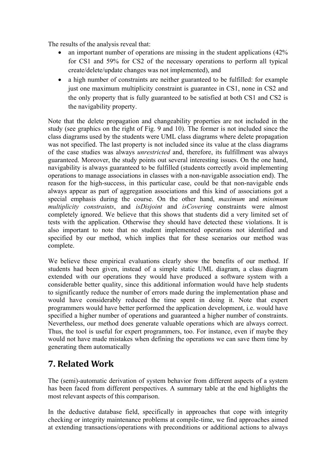The results of the analysis reveal that:

- an important number of operations are missing in the student applications (42%) for CS1 and 59% for CS2 of the necessary operations to perform all typical create/delete/update changes was not implemented), and
- a high number of constraints are neither guaranteed to be fulfilled: for example just one maximum multiplicity constraint is guarantee in CS1, none in CS2 and the only property that is fully guaranteed to be satisfied at both CS1 and CS2 is the navigability property.

Note that the delete propagation and changeability properties are not included in the study (see graphics on the right of Fig. 9 and 10). The former is not included since the class diagrams used by the students were UML class diagrams where delete propagation was not specified. The last property is not included since its value at the class diagrams of the case studies was always *unrestricted* and, therefore, its fulfillment was always guaranteed. Moreover, the study points out several interesting issues. On the one hand, navigability is always guaranteed to be fulfilled (students correctly avoid implementing operations to manage associations in classes with a non-navigable association end). The reason for the high-success, in this particular case, could be that non-navigable ends always appear as part of aggregation associations and this kind of associations got a special emphasis during the course. On the other hand, *maximum* and *minimum multiplicity constraints*, and *isDisjoint* and *isCovering* constraints were almost completely ignored. We believe that this shows that students did a very limited set of tests with the application. Otherwise they should have detected these violations. It is also important to note that no student implemented operations not identified and specified by our method, which implies that for these scenarios our method was complete.

We believe these empirical evaluations clearly show the benefits of our method. If students had been given, instead of a simple static UML diagram, a class diagram extended with our operations they would have produced a software system with a considerable better quality, since this additional information would have help students to significantly reduce the number of errors made during the implementation phase and would have considerably reduced the time spent in doing it. Note that expert programmers would have better performed the application development, i.e. would have specified a higher number of operations and guaranteed a higher number of constraints. Nevertheless, our method does generate valuable operations which are always correct. Thus, the tool is useful for expert programmers, too. For instance, even if maybe they would not have made mistakes when defining the operations we can save them time by generating them automatically

# **7. Related Work**

The (semi)-automatic derivation of system behavior from different aspects of a system has been faced from different perspectives. A summary table at the end highlights the most relevant aspects of this comparison.

In the deductive database field, specifically in approaches that cope with integrity checking or integrity maintenance problems at compile-time, we find approaches aimed at extending transactions/operations with preconditions or additional actions to always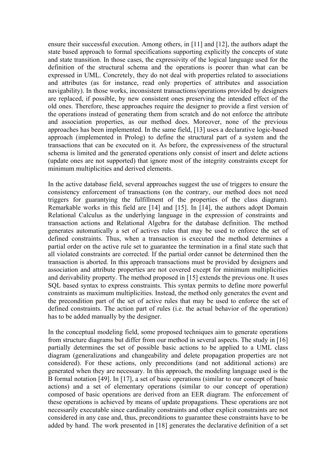ensure their successful execution. Among others, in [11] and [12], the authors adapt the state based approach to formal specifications supporting explicitly the concepts of state and state transition. In those cases, the expressivity of the logical language used for the definition of the structural schema and the operations is poorer than what can be expressed in UML. Concretely, they do not deal with properties related to associations and attributes (as for instance, read only properties of attributes and association navigability). In those works, inconsistent transactions/operations provided by designers are replaced, if possible, by new consistent ones preserving the intended effect of the old ones. Therefore, these approaches require the designer to provide a first version of the operations instead of generating them from scratch and do not enforce the attribute and association properties, as our method does. Moreover, none of the previous approaches has been implemented. In the same field, [13] uses a declarative logic-based approach (implemented in Prolog) to define the structural part of a system and the transactions that can be executed on it. As before, the expressiveness of the structural schema is limited and the generated operations only consist of insert and delete actions (update ones are not supported) that ignore most of the integrity constraints except for minimum multiplicities and derived elements.

In the active database field, several approaches suggest the use of triggers to ensure the consistency enforcement of transactions (on the contrary, our method does not need triggers for guarantying the fulfillment of the properties of the class diagram). Remarkable works in this field are [14] and [15]. In [14], the authors adopt Domain Relational Calculus as the underlying language in the expression of constraints and transaction actions and Relational Algebra for the database definition. The method generates automatically a set of actives rules that may be used to enforce the set of defined constraints. Thus, when a transaction is executed the method determines a partial order on the active rule set to guarantee the termination in a final state such that all violated constraints are corrected. If the partial order cannot be determined then the transaction is aborted. In this approach transactions must be provided by designers and association and attribute properties are not covered except for minimum multiplicities and derivability property. The method proposed in [15] extends the previous one. It uses SQL based syntax to express constraints. This syntax permits to define more powerful constraints as maximum multiplicities. Instead, the method only generates the event and the precondition part of the set of active rules that may be used to enforce the set of defined constraints. The action part of rules (i.e. the actual behavior of the operation) has to be added manually by the designer.

In the conceptual modeling field, some proposed techniques aim to generate operations from structure diagrams but differ from our method in several aspects. The study in [16] partially determines the set of possible basic actions to be applied to a UML class diagram (generalizations and changeability and delete propagation properties are not considered). For these actions, only preconditions (and not additional actions) are generated when they are necessary. In this approach, the modeling language used is the B formal notation [49]. In [17], a set of basic operations (similar to our concept of basic actions) and a set of elementary operations (similar to our concept of operation) composed of basic operations are derived from an EER diagram. The enforcement of these operations is achieved by means of update propagations. These operations are not necessarily executable since cardinality constraints and other explicit constraints are not considered in any case and, thus, preconditions to guarantee these constraints have to be added by hand. The work presented in [18] generates the declarative definition of a set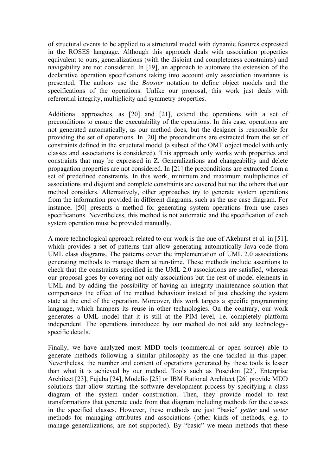of structural events to be applied to a structural model with dynamic features expressed in the ROSES language. Although this approach deals with association properties equivalent to ours, generalizations (with the disjoint and completeness constraints) and navigability are not considered. In [19], an approach to automate the extension of the declarative operation specifications taking into account only association invariants is presented. The authors use the *Booster* notation to define object models and the specifications of the operations. Unlike our proposal, this work just deals with referential integrity, multiplicity and symmetry properties.

Additional approaches, as [20] and [21], extend the operations with a set of preconditions to ensure the executability of the operations. In this case, operations are not generated automatically, as our method does, but the designer is responsible for providing the set of operations. In [20] the preconditions are extracted from the set of constraints defined in the structural model (a subset of the OMT object model with only classes and associations is considered). This approach only works with properties and constraints that may be expressed in Z. Generalizations and changeability and delete propagation properties are not considered. In [21] the preconditions are extracted from a set of predefined constraints. In this work, minimum and maximum multiplicities of associations and disjoint and complete constraints are covered but not the others that our method considers. Alternatively, other approaches try to generate system operations from the information provided in different diagrams, such as the use case diagram. For instance, [50] presents a method for generating system operations from use cases specifications. Nevertheless, this method is not automatic and the specification of each system operation must be provided manually.

A more technological approach related to our work is the one of Akehurst et al. in [51], which provides a set of patterns that allow generating automatically Java code from UML class diagrams. The patterns cover the implementation of UML 2.0 associations generating methods to manage them at run-time. These methods include assertions to check that the constraints specified in the UML 2.0 associations are satisfied, whereas our proposal goes by covering not only associations but the rest of model elements in UML and by adding the possibility of having an integrity maintenance solution that compensates the effect of the method behaviour instead of just checking the system state at the end of the operation. Moreover, this work targets a specific programming language, which hampers its reuse in other technologies. On the contrary, our work generates a UML model that it is still at the PIM level, i.e. completely platform independent. The operations introduced by our method do not add any technologyspecific details.

Finally, we have analyzed most MDD tools (commercial or open source) able to generate methods following a similar philosophy as the one tackled in this paper. Nevertheless, the number and content of operations generated by these tools is lesser than what it is achieved by our method. Tools such as Poseidon [22], Enterprise Architect [23], Fujaba [24], Modelio [25] or IBM Rational Architect [26] provide MDD solutions that allow starting the software development process by specifying a class diagram of the system under construction. Then, they provide model to text transformations that generate code from that diagram including methods for the classes in the specified classes. However, these methods are just "basic" *getter* and *setter* methods for managing attributes and associations (other kinds of methods, e.g. to manage generalizations, are not supported). By "basic" we mean methods that these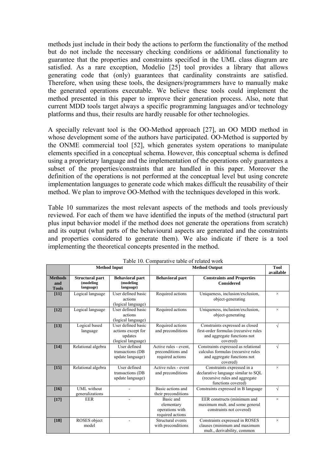methods just include in their body the actions to perform the functionality of the method but do not include the necessary checking conditions or additional functionality to guarantee that the properties and constraints specified in the UML class diagram are satisfied. As a rare exception, Modelio [25] tool provides a library that allows generating code that (only) guarantees that cardinality constraints are satisfied. Therefore, when using these tools, the designers/programmers have to manually make the generated operations executable. We believe these tools could implement the method presented in this paper to improve their generation process. Also, note that current MDD tools target always a specific programming languages and/or technology platforms and thus, their results are hardly reusable for other technologies.

A specially relevant tool is the OO-Method approach [27], an OO MDD method in whose development some of the authors have participated. OO-Method is supported by the ONME commercial tool [52], which generates system operations to manipulate elements specified in a conceptual schema. However, this conceptual schema is defined using a proprietary language and the implementation of the operations only guarantees a subset of the properties/constraints that are handled in this paper. Moreover the definition of the operations is not performed at the conceptual level but using concrete implementation languages to generate code which makes difficult the reusability of their method. We plan to improve OO-Method with the techniques developed in this work.

Table 10 summarizes the most relevant aspects of the methods and tools previously reviewed. For each of them we have identified the inputs of the method (structural part plus input behavior model if the method does not generate the operations from scratch) and its output (what parts of the behavioural aspects are generated and the constraints and properties considered to generate them). We also indicate if there is a tool implementing the theoretical concepts presented in the method.

|                                       | <b>Method Input</b>                              |                                                                           |                                                                | <b>Method Output</b>                                                                                                      | <b>Tool</b><br>available |
|---------------------------------------|--------------------------------------------------|---------------------------------------------------------------------------|----------------------------------------------------------------|---------------------------------------------------------------------------------------------------------------------------|--------------------------|
| <b>Methods</b><br>and<br><b>Tools</b> | <b>Structural part</b><br>(modeling<br>language) | <b>Behavioral part</b><br>(modeling<br>language)                          | <b>Behavioral part</b>                                         | <b>Constraints and Properties</b><br><b>Considered</b>                                                                    |                          |
| [11]                                  | Logical language                                 | User defined basic<br>actions<br>(logical language)                       | Required actions                                               | Uniqueness, inclusion/exclusion,<br>object-generating                                                                     | $\times$                 |
| [12]                                  | Logical language                                 | User defined basic<br>actions<br>(logical language)                       | Required actions                                               | Uniqueness, inclusion/exclusion,<br>object-generating                                                                     | $\times$                 |
| [13]                                  | Logical based<br>language                        | User defined basic<br>actions except for<br>updates<br>(logical language) | Required actions<br>and preconditions                          | Constraints expressed as closed<br>first-order formulas (recursive rules<br>and aggregate functions not<br>covered)       | √                        |
| $[14]$                                | Relational algebra                               | User defined<br>transactions (DB<br>update language)                      | Active rules - event.<br>preconditions and<br>required actions | Constraints expressed as relational<br>calculus formulas (recursive rules<br>and aggregate functions not<br>covered)      | $\sqrt{}$                |
| [15]                                  | Relational algebra                               | User defined<br>transactions (DB<br>update language)                      | Active rules - event<br>and preconditions                      | Constraints expressed in a<br>declarative language similar to SQL<br>(recursive rules and aggregate<br>functions covered) | $\times$                 |
| $[16]$                                | <b>UML</b> without<br>generalizations            |                                                                           | Basic actions and<br>their preconditions                       | Constraints expressed in B language                                                                                       | $\sqrt{}$                |
| $[17]$                                | <b>EER</b>                                       |                                                                           | Basic and<br>elementary<br>operations with<br>required actions | EER constructs (minimum and<br>maximum mult. and some general<br>constraints not covered)                                 | $\times$                 |
| $[18]$                                | ROSES object<br>model                            |                                                                           | Structural events<br>with preconditions                        | Constraints expressed in ROSES<br>clauses (minimum and maximum<br>mult., derivability, common                             | $\times$                 |

|  | Table 10. Comparative table of related work |  |
|--|---------------------------------------------|--|
|--|---------------------------------------------|--|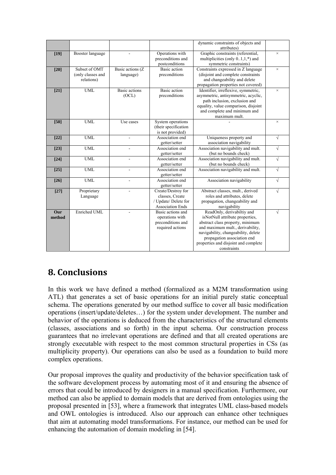|               |                   |                      |                                      | dynamic constraints of objects and                            |           |
|---------------|-------------------|----------------------|--------------------------------------|---------------------------------------------------------------|-----------|
|               |                   |                      |                                      | attributes)                                                   |           |
| $[19]$        | Booster language  |                      | Operations with                      | Graphic constraints (referential,                             | $\times$  |
|               |                   |                      | preconditions and                    | multiplicities (only $0.1,1,*$ ) and                          |           |
|               |                   |                      | postconditions                       | symmetric constraints)                                        |           |
| [20]          | Subset of OMT     | Basic actions (Z     | Basic action                         | Constraints expressed in Z language                           | $\times$  |
|               | (only classes and | language)            | preconditions                        | (disjoint and complete constraints)                           |           |
|               | relations)        |                      |                                      | and changeability and delete                                  |           |
|               |                   |                      |                                      | propagation properties not covered)                           |           |
| $[21]$        | <b>UML</b>        | <b>Basic</b> actions | Basic action                         | Identifier, irreflexive, symmetric,                           | $\times$  |
|               |                   | (OCL)                | preconditions                        | asymmetric, antisymmetric, acyclic,                           |           |
|               |                   |                      |                                      | path inclusion, exclusion and                                 |           |
|               |                   |                      |                                      | equality, value comparison, disjoint                          |           |
|               |                   |                      |                                      | and complete and minimum and                                  |           |
|               |                   |                      |                                      | maximum mult.                                                 |           |
| [50]          | <b>UML</b>        | Use cases            | System operations                    |                                                               | $\times$  |
|               |                   |                      | (their specification                 |                                                               |           |
|               |                   |                      | is not provided)                     |                                                               |           |
| $[22]$        | <b>UML</b>        | ÷,                   | Association end                      | Uniqueness property and                                       | $\sqrt{}$ |
|               |                   |                      | getter/setter                        | association navigability                                      |           |
| $[23]$        | <b>UML</b>        |                      | Association end                      | Association navigability and mult.                            | V         |
|               |                   |                      | getter/setter                        | (but no bounds check)                                         |           |
| $[24]$        | <b>UML</b>        | ٠                    | Association end                      | Association navigability and mult.                            | V         |
|               |                   |                      | getter/setter                        | (but no bounds check)                                         |           |
| $[25]$        | <b>UML</b>        |                      | Association end                      | Association navigability and mult.                            | $\sqrt{}$ |
|               |                   |                      | getter/setter                        |                                                               |           |
| $[26]$        | <b>UML</b>        |                      | Association end                      | Association navigability                                      | $\sqrt{}$ |
|               |                   |                      | getter/setter                        |                                                               |           |
| $[27]$        | Proprietary       |                      | Create/Destroy for                   | Abstract classes, mult., derived                              | V         |
|               | Language          |                      | classes, Create                      | roles and attributes, delete                                  |           |
|               |                   |                      | / Update/ Delete for                 | propagation, changeability and                                |           |
|               |                   |                      | <b>Association Ends</b>              | navigability                                                  |           |
| Our<br>method | Enriched UML      |                      | Basic actions and<br>operations with | ReadOnly, derivabiltiy and<br>isNotNull attribute properties, | V         |
|               |                   |                      | preconditions and                    | abstract class property, minimum                              |           |
|               |                   |                      | required actions                     | and maximum mult., derivability,                              |           |
|               |                   |                      |                                      | navigability, changeability, delete                           |           |
|               |                   |                      |                                      | propagation association end                                   |           |
|               |                   |                      |                                      | properties and disjoint and complete                          |           |
|               |                   |                      |                                      | constraints                                                   |           |
|               |                   |                      |                                      |                                                               |           |

# **8. Conclusions**

In this work we have defined a method (formalized as a M2M transformation using ATL) that generates a set of basic operations for an initial purely static conceptual schema. The operations generated by our method suffice to cover all basic modification operations (insert/update/deletes…) for the system under development. The number and behavior of the operations is deduced from the characteristics of the structural elements (classes, associations and so forth) in the input schema. Our construction process guarantees that no irrelevant operations are defined and that all created operations are strongly executable with respect to the most common structural properties in CSs (as multiplicity property). Our operations can also be used as a foundation to build more complex operations.

Our proposal improves the quality and productivity of the behavior specification task of the software development process by automating most of it and ensuring the absence of errors that could be introduced by designers in a manual specification. Furthermore, our method can also be applied to domain models that are derived from ontologies using the proposal presented in [53], where a framework that integrates UML class-based models and OWL ontologies is introduced. Also our approach can enhance other techniques that aim at automating model transformations. For instance, our method can be used for enhancing the automation of domain modeling in [54].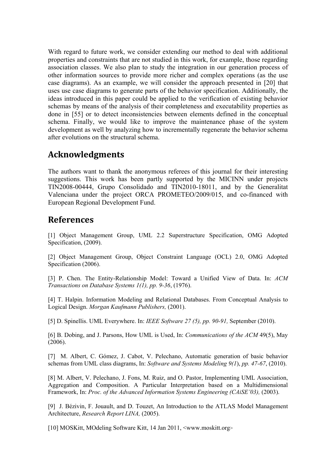With regard to future work, we consider extending our method to deal with additional properties and constraints that are not studied in this work, for example, those regarding association classes. We also plan to study the integration in our generation process of other information sources to provide more richer and complex operations (as the use case diagrams). As an example, we will consider the approach presented in [20] that uses use case diagrams to generate parts of the behavior specification. Additionally, the ideas introduced in this paper could be applied to the verification of existing behavior schemas by means of the analysis of their completeness and executability properties as done in [55] or to detect inconsistencies between elements defined in the conceptual schema. Finally, we would like to improve the maintenance phase of the system development as well by analyzing how to incrementally regenerate the behavior schema after evolutions on the structural schema.

# **Acknowledgments**

The authors want to thank the anonymous referees of this journal for their interesting suggestions. This work has been partly supported by the MICINN under projects TIN2008-00444, Grupo Consolidado and TIN2010-18011, and by the Generalitat Valenciana under the project ORCA PROMETEO/2009/015, and co-financed with European Regional Development Fund.

## **References**

[1] Object Management Group, UML 2.2 Superstructure Specification, OMG Adopted Specification, (2009).

[2] Object Management Group, Object Constraint Language (OCL) 2.0, OMG Adopted Specification (2006).

[3] P. Chen. The Entity-Relationship Model: Toward a Unified View of Data. In: *ACM Transactions on Database Systems 1(1), pp. 9-36*, (1976).

[4] T. Halpin. Information Modeling and Relational Databases. From Conceptual Analysis to Logical Design. *Morgan Kaufmann Publishers,* (2001).

[5] D. Spinellis. UML Everywhere. In: *IEEE Software 27 (5), pp. 90-91,* September (2010).

[6] B. Dobing, and J. Parsons, How UML is Used, In: *Communications of the ACM* 49(5), May (2006).

[7] M. Albert, C. Gómez, J. Cabot, V. Pelechano, Automatic generation of basic behavior schemas from UML class diagrams, In: *Software and Systems Modeling 9(1*), *pp. 47-67*, (2010).

[8] M. Albert, V. Pelechano, J. Fons, M. Ruiz, and O. Pastor, Implementing UML Association, Aggregation and Composition. A Particular Interpretation based on a Multidimensional Framework, In: *Proc. of the Advanced Information Systems Engineering (CAiSE'03),* (2003).

[9] J. Bézivin, F. Jouault, and D. Touzet, An Introduction to the ATLAS Model Management Architecture, *Research Report LINA,* (2005).

[10] MOSKitt, MOdeling Software Kitt, 14 Jan 2011, <www.moskitt.org>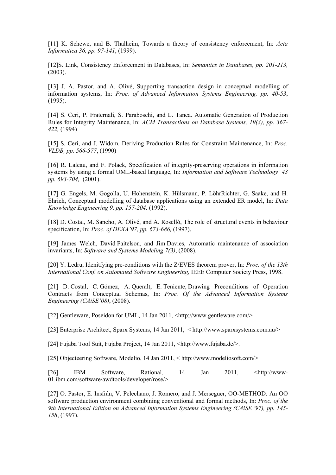[11] K. Schewe, and B. Thalheim, Towards a theory of consistency enforcement, In: *Acta Informatica 36, pp. 97-141*, (1999).

[12]S. Link, Consistency Enforcement in Databases, In: *Semantics in Databases, pp. 201-213,*  (2003).

[13] J. A. Pastor, and A. Olivé, Supporting transaction design in conceptual modelling of information systems, In: *Proc. of Advanced Information Systems Engineering, pp. 40-53*, (1995).

[14] S. Ceri, P. Fraternali, S. Paraboschi, and L. Tanca. Automatic Generation of Production Rules for Integrity Maintenance, In: *ACM Transactions on Database Systems, 19(3), pp. 367- 422,* (1994)

[15] S. Ceri, and J. Widom. Deriving Production Rules for Constraint Maintenance, In: *Proc. VLDB, pp. 566-577*, (1990)

[16] R. Laleau, and F. Polack, Specification of integrity-preserving operations in information systems by using a formal UML-based language, In: *Information and Software Technology 43 pp. 693-704,* (2001).

[17] G. Engels, M. Gogolla, U. Hohenstein, K. Hülsmann, P. LöhrRichter, G. Saake, and H. Ehrich, Conceptual modelling of database applications using an extended ER model, In: *Data Knowledge Engineering 9, pp. 157-204,* (1992).

[18] D. Costal, M. Sancho, A. Olivé, and A. Roselló, The role of structural events in behaviour specification, In: *Proc. of DEXA'97, pp. 673-686,* (1997).

[19] James Welch, David Faitelson, and Jim Davies, Automatic maintenance of association invariants, In: *Software and Systems Modeling 7(3)*, (2008).

[20] Y. Ledru, Idenitfying pre-conditions with the Z/EVES theorem prover, In: *Proc. of the 13th International Conf. on Automated Software Engineering*, IEEE Computer Society Press, 1998.

[21] D. Costal, C. Gómez, A. Queralt, E. Teniente, Drawing Preconditions of Operation Contracts from Conceptual Schemas, In: *Proc. Of the Advanced Information Systems Engineering (CAiSE'08)*, (2008).

[22] Gentleware, Poseidon for UML, 14 Jan 2011, <http://www.gentleware.com/>

[23] Enterprise Architect, Sparx Systems, 14 Jan 2011, < http://www.sparxsystems.com.au/>

[24] Fujaba Tool Suit, Fujaba Project, 14 Jan 2011, <http://www.fujaba.de/>.

[25] Objecteering Software, Modelio, 14 Jan 2011, < http://www.modeliosoft.com/>

[26] IBM Software, Rational, 14 Jan 2011, <http://www-01.ibm.com/software/awdtools/developer/rose/>

[27] O. Pastor, E. Insfrán, V. Pelechano, J. Romero, and J. Merseguer, OO-METHOD: An OO software production environment combining conventional and formal methods, In: *Proc. of the 9th International Edition on Advanced Information Systems Engineering (CAiSE '97), pp. 145- 158*, (1997).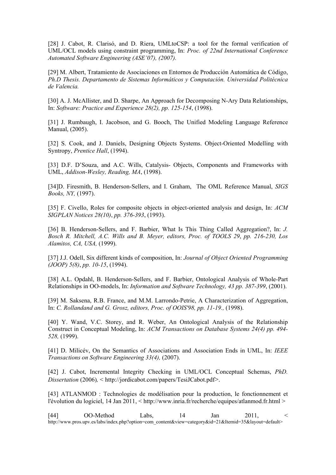[28] J. Cabot, R. Clarisó, and D. Riera, UMLtoCSP: a tool for the formal verification of UML/OCL models using constraint programming, In: *Proc. of 22nd International Conference Automated Software Engineering (ASE'07), (2007).* 

[29] M. Albert, Tratamiento de Asociaciones en Entornos de Producción Automática de Código, *Ph.D Thesis. Departamento de Sistemas Informáticos y Computación. Universidad Politécnica de Valencia.*

[30] A. J. McAllister, and D. Sharpe, An Approach for Decomposing N-Ary Data Relationships, In: *Software: Practice and Experience 28(2), pp. 125-154*, (1998).

[31] J. Rumbaugh, I. Jacobson, and G. Booch, The Unified Modeling Language Reference Manual, (2005).

[32] S. Cook, and J. Daniels, Designing Objects Systems. Object-Oriented Modelling with Syntropy, *Prentice Hall*, (1994).

[33] D.F. D'Souza, and A.C. Wills, Catalysis- Objects, Components and Frameworks with UML, *Addison-Wesley, Reading, MA*, (1998).

[34]D. Firesmith, B. Henderson-Sellers, and I. Graham, The OML Reference Manual, *SIGS Books, NY,* (1997).

[35] F. Civello, Roles for composite objects in object-oriented analysis and design, In: *ACM SIGPLAN Notices 28(10)*, *pp. 376-393*, (1993).

[36] B. Henderson-Sellers, and F. Barbier, What Is This Thing Called Aggregation?, In: *J. Bosch R. Mitchell, A.C. Wills and B. Meyer, editors, Proc. of TOOLS 29*, *pp. 216-230, Los Alamitos, CA, USA,* (1999).

[37] J.J. Odell, Six different kinds of composition, In: *Journal of Object Oriented Programming (JOOP) 5(8)*, *pp. 10-15*, (1994).

[38] A.L. Opdahl, B. Henderson-Sellers, and F. Barbier, Ontological Analysis of Whole-Part Relationships in OO-models, In: *Information and Software Technology, 43 pp. 387-399*, (2001).

[39] M. Saksena, R.B. France, and M.M. Larrondo-Petrie, A Characterization of Aggregation, In: *C. Rollandand and G. Grosz, editors, Proc. of OOIS'98, pp. 11-19.,* (1998).

[40] Y. Wand, V.C. Storey, and R. Weber, An Ontological Analysis of the Relationship Construct in Conceptual Modeling, In: *ACM Transactions on Database Systems 24(4) pp. 494- 528,* (1999).

[41] D. Milicév, On the Semantics of Associations and Association Ends in UML, In: *IEEE Transactions on Software Engineering 33(4),* (2007).

[42] J. Cabot, Incremental Integrity Checking in UML/OCL Conceptual Schemas, *PhD. Dissertation* (2006)*,* < http://jordicabot.com/papers/TesiJCabot.pdf>.

[43] ATLANMOD : Technologies de modélisation pour la production, le fonctionnement et l'évolution du logiciel, 14 Jan 2011, < http://www.inria.fr/recherche/equipes/atlanmod.fr.html >

[44] OO-Method Labs, 14 Jan 2011, < http://www.pros.upv.es/labs/index.php?option=com\_content&view=category&id=21&Itemid=35&layout=default>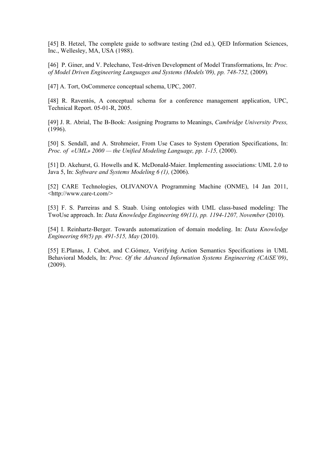[45] B. Hetzel, The complete guide to software testing (2nd ed.), QED Information Sciences, Inc., Wellesley, MA, USA (1988).

[46] P. Giner, and V. Pelechano, Test-driven Development of Model Transformations, In: *Proc. of Model Driven Engineering Languages and Systems (Models'09), pp. 748-752,* (2009)*.* 

[47] A. Tort, OsCommerce conceptual schema, UPC, 2007.

[48] R. Raventós, A conceptual schema for a conference management application, UPC, Technical Report. 05-01-R, 2005.

[49] J. R. Abrial, The B-Book: Assigning Programs to Meanings, *Cambridge University Press,* (1996).

[50] S. Sendall, and A. Strohmeier, From Use Cases to System Operation Specifications, In: *Proc. of «UML» 2000 — the Unified Modeling Language, pp. 1-15,* (2000).

[51] D. Akehurst, G. Howells and K. McDonald-Maier. Implementing associations: UML 2.0 to Java 5, In: *Software and Systems Modeling 6 (1),* (2006).

[52] CARE Technologies, OLIVANOVA Programming Machine (ONME), 14 Jan 2011, <http://www.care-t.com/>

[53] F. S. Parreiras and S. Staab. Using ontologies with UML class-based modeling: The TwoUse approach. In: *Data Knowledge Engineering 69(11), pp. 1194-1207, November* (2010).

[54] I. Reinhartz-Berger. Towards automatization of domain modeling. In: *Data Knowledge Engineering 69(5) pp. 491-515, May* (2010).

[55] E.Planas, J. Cabot, and C.Gómez, Verifying Action Semantics Specifications in UML Behavioral Models, In: *Proc. Of the Advanced Information Systems Engineering (CAiSE'09)*, (2009).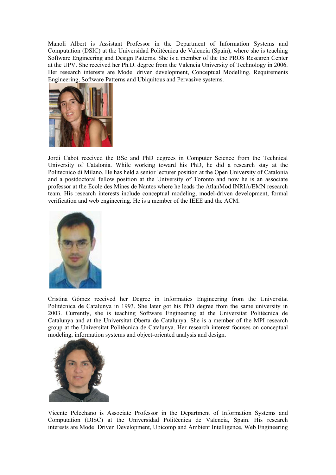Manoli Albert is Assistant Professor in the Department of Information Systems and Computation (DSIC) at the Universidad Politécnica de Valencia (Spain), where she is teaching Software Engineering and Design Patterns. She is a member of the the PROS Research Center at the UPV. She received her Ph.D. degree from the Valencia University of Technology in 2006. Her research interests are Model driven development, Conceptual Modelling, Requirements Engineering, Software Patterns and Ubiquitous and Pervasive systems.



Jordi Cabot received the BSc and PhD degrees in Computer Science from the Technical University of Catalonia. While working toward his PhD, he did a research stay at the Politecnico di Milano. He has held a senior lecturer position at the Open University of Catalonia and a postdoctoral fellow position at the University of Toronto and now he is an associate professor at the École des Mines de Nantes where he leads the AtlanMod INRIA/EMN research team. His research interests include conceptual modeling, model-driven development, formal verification and web engineering. He is a member of the IEEE and the ACM.



Cristina Gómez received her Degree in Informatics Engineering from the Universitat Politècnica de Catalunya in 1993. She later got his PhD degree from the same university in 2003. Currently, she is teaching Software Engineering at the Universitat Politècnica de Catalunya and at the Universitat Oberta de Catalunya. She is a member of the MPI research group at the Universitat Politècnica de Catalunya. Her research interest focuses on conceptual modeling, information systems and object-oriented analysis and design.



Vicente Pelechano is Associate Professor in the Department of Information Systems and Computation (DISC) at the Universidad Politécnica de Valencia, Spain. His research interests are Model Driven Development, Ubicomp and Ambient Intelligence, Web Engineering